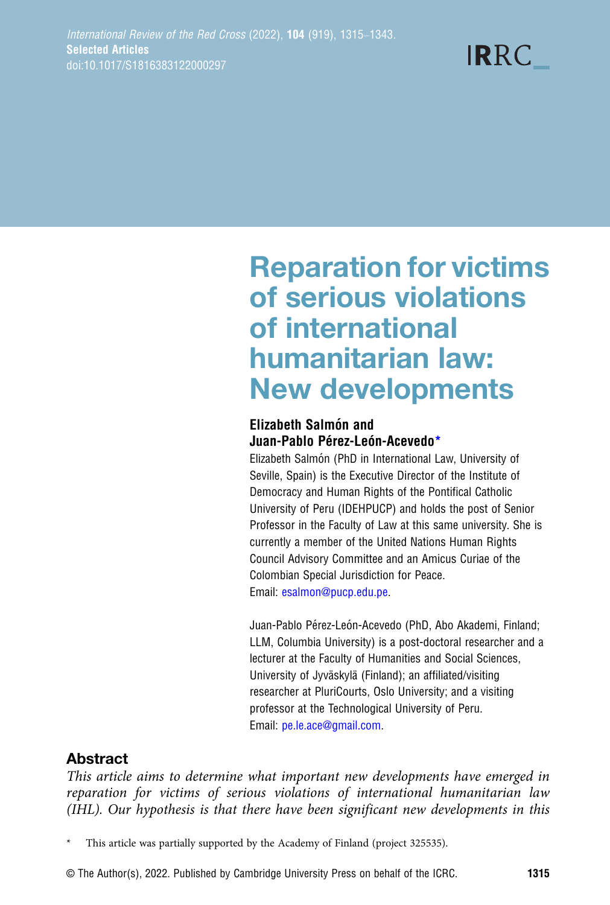**IRRC** 

# Reparation for victims of serious violations of international humanitarian law: New developments

# **Elizabeth Salmón and** Juan-Pablo Pérez-León-Acevedo\*

Elizabeth Salmón (PhD in International Law, University of Seville, Spain) is the Executive Director of the Institute of Democracy and Human Rights of the Pontifical Catholic University of Peru (IDEHPUCP) and holds the post of Senior Professor in the Faculty of Law at this same university. She is currently a member of the United Nations Human Rights Council Advisory Committee and an Amicus Curiae of the Colombian Special Jurisdiction for Peace. Email: [esalmon@pucp.edu.pe](mailto:esalmon@pucp.edu.pe).

Juan-Pablo Pérez-León-Acevedo (PhD, Abo Akademi, Finland; LLM, Columbia University) is a post-doctoral researcher and a lecturer at the Faculty of Humanities and Social Sciences, University of Jyväskylä (Finland); an affiliated/visiting researcher at PluriCourts, Oslo University; and a visiting professor at the Technological University of Peru. Email: [pe.le.ace@gmail.com](mailto:pe.le.ace@gmail.com).

# Abstract

This article aims to determine what important new developments have emerged in reparation for victims of serious violations of international humanitarian law (IHL). Our hypothesis is that there have been significant new developments in this

This article was partially supported by the Academy of Finland (project 325535).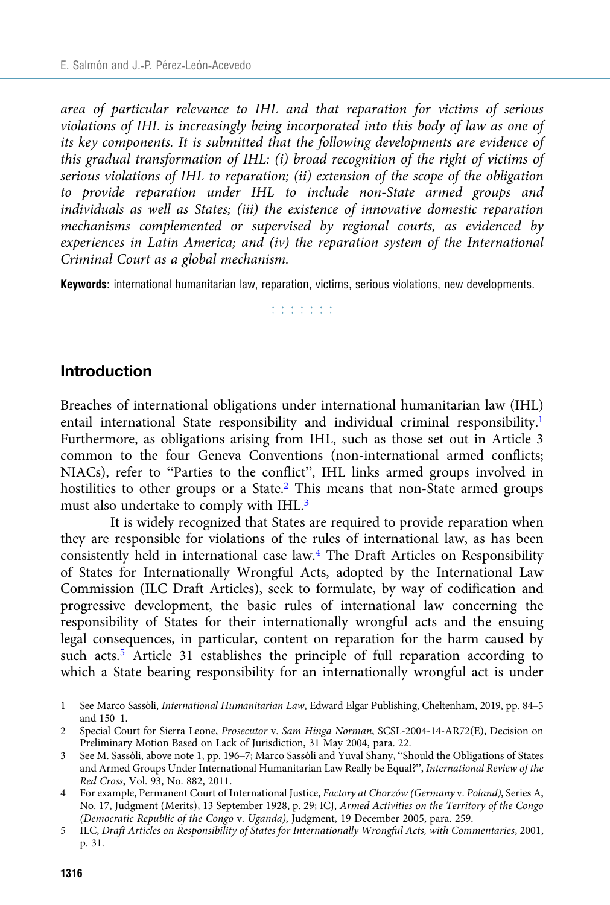area of particular relevance to IHL and that reparation for victims of serious violations of IHL is increasingly being incorporated into this body of law as one of its key components. It is submitted that the following developments are evidence of this gradual transformation of IHL: (i) broad recognition of the right of victims of serious violations of IHL to reparation; (ii) extension of the scope of the obligation to provide reparation under IHL to include non-State armed groups and individuals as well as States; (iii) the existence of innovative domestic reparation mechanisms complemented or supervised by regional courts, as evidenced by experiences in Latin America; and (iv) the reparation system of the International Criminal Court as a global mechanism.

Keywords: international humanitarian law, reparation, victims, serious violations, new developments.

**Barbara** 

## Introduction

Breaches of international obligations under international humanitarian law (IHL) entail international State responsibility and individual criminal responsibility.<sup>1</sup> Furthermore, as obligations arising from IHL, such as those set out in Article 3 common to the four Geneva Conventions (non-international armed conflicts; NIACs), refer to "Parties to the conflict", IHL links armed groups involved in hostilities to other groups or a State.<sup>2</sup> This means that non-State armed groups must also undertake to comply with IHL.3

It is widely recognized that States are required to provide reparation when they are responsible for violations of the rules of international law, as has been consistently held in international case law.4 The Draft Articles on Responsibility of States for Internationally Wrongful Acts, adopted by the International Law Commission (ILC Draft Articles), seek to formulate, by way of codification and progressive development, the basic rules of international law concerning the responsibility of States for their internationally wrongful acts and the ensuing legal consequences, in particular, content on reparation for the harm caused by such acts.<sup>5</sup> Article 31 establishes the principle of full reparation according to which a State bearing responsibility for an internationally wrongful act is under

1 See Marco Sassòli, International Humanitarian Law, Edward Elgar Publishing, Cheltenham, 2019, pp. 84–5 and 150–1.

- 3 See M. Sassòli, above note 1, pp. 196–7; Marco Sassòli and Yuval Shany, "Should the Obligations of States and Armed Groups Under International Humanitarian Law Really be Equal?", International Review of the Red Cross, Vol. 93, No. 882, 2011.
- 4 For example, Permanent Court of International Justice, Factory at Chorzów (Germany v. Poland), Series A, No. 17, Judgment (Merits), 13 September 1928, p. 29; ICJ, Armed Activities on the Territory of the Congo (Democratic Republic of the Congo v. Uganda), Judgment, 19 December 2005, para. 259.
- 5 ILC, Draft Articles on Responsibility of States for Internationally Wrongful Acts, with Commentaries, 2001, p. 31.

<sup>2</sup> Special Court for Sierra Leone, Prosecutor v. Sam Hinga Norman, SCSL-2004-14-AR72(E), Decision on Preliminary Motion Based on Lack of Jurisdiction, 31 May 2004, para. 22.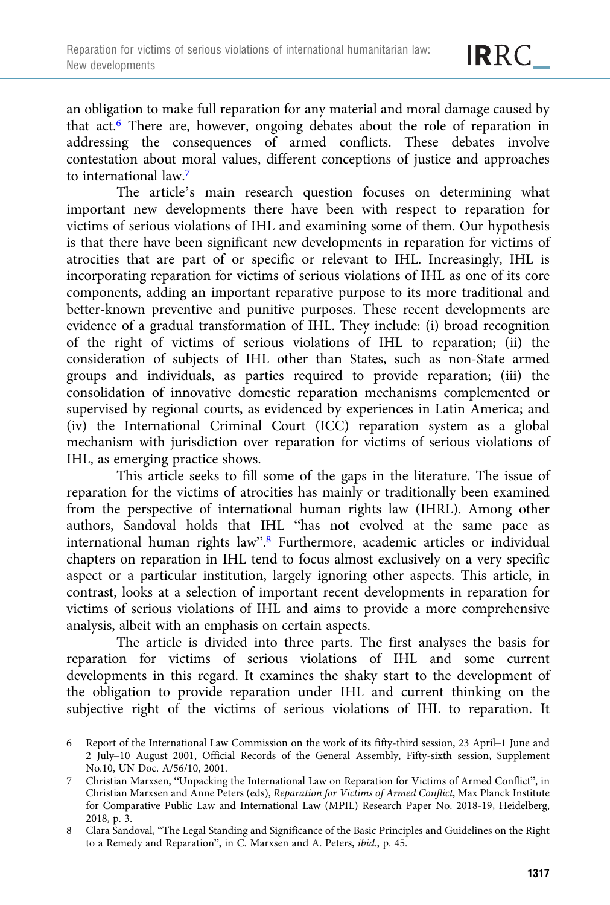an obligation to make full reparation for any material and moral damage caused by that act.6 There are, however, ongoing debates about the role of reparation in addressing the consequences of armed conflicts. These debates involve contestation about moral values, different conceptions of justice and approaches to international law.<sup>7</sup>

The article's main research question focuses on determining what important new developments there have been with respect to reparation for victims of serious violations of IHL and examining some of them. Our hypothesis is that there have been significant new developments in reparation for victims of atrocities that are part of or specific or relevant to IHL. Increasingly, IHL is incorporating reparation for victims of serious violations of IHL as one of its core components, adding an important reparative purpose to its more traditional and better-known preventive and punitive purposes. These recent developments are evidence of a gradual transformation of IHL. They include: (i) broad recognition of the right of victims of serious violations of IHL to reparation; (ii) the consideration of subjects of IHL other than States, such as non-State armed groups and individuals, as parties required to provide reparation; (iii) the consolidation of innovative domestic reparation mechanisms complemented or supervised by regional courts, as evidenced by experiences in Latin America; and (iv) the International Criminal Court (ICC) reparation system as a global mechanism with jurisdiction over reparation for victims of serious violations of IHL, as emerging practice shows.

This article seeks to fill some of the gaps in the literature. The issue of reparation for the victims of atrocities has mainly or traditionally been examined from the perspective of international human rights law (IHRL). Among other authors, Sandoval holds that IHL "has not evolved at the same pace as international human rights law".<sup>8</sup> Furthermore, academic articles or individual chapters on reparation in IHL tend to focus almost exclusively on a very specific aspect or a particular institution, largely ignoring other aspects. This article, in contrast, looks at a selection of important recent developments in reparation for victims of serious violations of IHL and aims to provide a more comprehensive analysis, albeit with an emphasis on certain aspects.

The article is divided into three parts. The first analyses the basis for reparation for victims of serious violations of IHL and some current developments in this regard. It examines the shaky start to the development of the obligation to provide reparation under IHL and current thinking on the subjective right of the victims of serious violations of IHL to reparation. It

<sup>6</sup> Report of the International Law Commission on the work of its fifty-third session, 23 April–1 June and 2 July–10 August 2001, Official Records of the General Assembly, Fifty-sixth session, Supplement No.10, UN Doc. A/56/10, 2001.

<sup>7</sup> Christian Marxsen, "Unpacking the International Law on Reparation for Victims of Armed Conflict", in Christian Marxsen and Anne Peters (eds), Reparation for Victims of Armed Conflict, Max Planck Institute for Comparative Public Law and International Law (MPIL) Research Paper No. 2018-19, Heidelberg, 2018, p. 3.

<sup>8</sup> Clara Sandoval, "The Legal Standing and Significance of the Basic Principles and Guidelines on the Right to a Remedy and Reparation", in C. Marxsen and A. Peters, ibid., p. 45.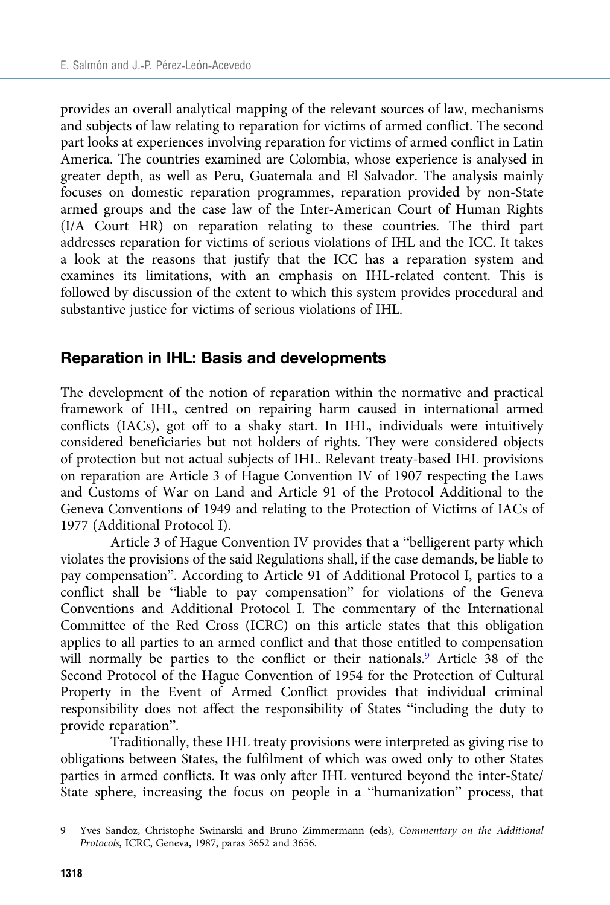provides an overall analytical mapping of the relevant sources of law, mechanisms and subjects of law relating to reparation for victims of armed conflict. The second part looks at experiences involving reparation for victims of armed conflict in Latin America. The countries examined are Colombia, whose experience is analysed in greater depth, as well as Peru, Guatemala and El Salvador. The analysis mainly focuses on domestic reparation programmes, reparation provided by non-State armed groups and the case law of the Inter-American Court of Human Rights (I/A Court HR) on reparation relating to these countries. The third part addresses reparation for victims of serious violations of IHL and the ICC. It takes a look at the reasons that justify that the ICC has a reparation system and examines its limitations, with an emphasis on IHL-related content. This is followed by discussion of the extent to which this system provides procedural and substantive justice for victims of serious violations of IHL.

## Reparation in IHL: Basis and developments

The development of the notion of reparation within the normative and practical framework of IHL, centred on repairing harm caused in international armed conflicts (IACs), got off to a shaky start. In IHL, individuals were intuitively considered beneficiaries but not holders of rights. They were considered objects of protection but not actual subjects of IHL. Relevant treaty-based IHL provisions on reparation are Article 3 of Hague Convention IV of 1907 respecting the Laws and Customs of War on Land and Article 91 of the Protocol Additional to the Geneva Conventions of 1949 and relating to the Protection of Victims of IACs of 1977 (Additional Protocol I).

Article 3 of Hague Convention IV provides that a "belligerent party which violates the provisions of the said Regulations shall, if the case demands, be liable to pay compensation". According to Article 91 of Additional Protocol I, parties to a conflict shall be "liable to pay compensation" for violations of the Geneva Conventions and Additional Protocol I. The commentary of the International Committee of the Red Cross (ICRC) on this article states that this obligation applies to all parties to an armed conflict and that those entitled to compensation will normally be parties to the conflict or their nationals.<sup>9</sup> Article 38 of the Second Protocol of the Hague Convention of 1954 for the Protection of Cultural Property in the Event of Armed Conflict provides that individual criminal responsibility does not affect the responsibility of States "including the duty to provide reparation".

Traditionally, these IHL treaty provisions were interpreted as giving rise to obligations between States, the fulfilment of which was owed only to other States parties in armed conflicts. It was only after IHL ventured beyond the inter-State/ State sphere, increasing the focus on people in a "humanization" process, that

<sup>9</sup> Yves Sandoz, Christophe Swinarski and Bruno Zimmermann (eds), Commentary on the Additional Protocols, ICRC, Geneva, 1987, paras 3652 and 3656.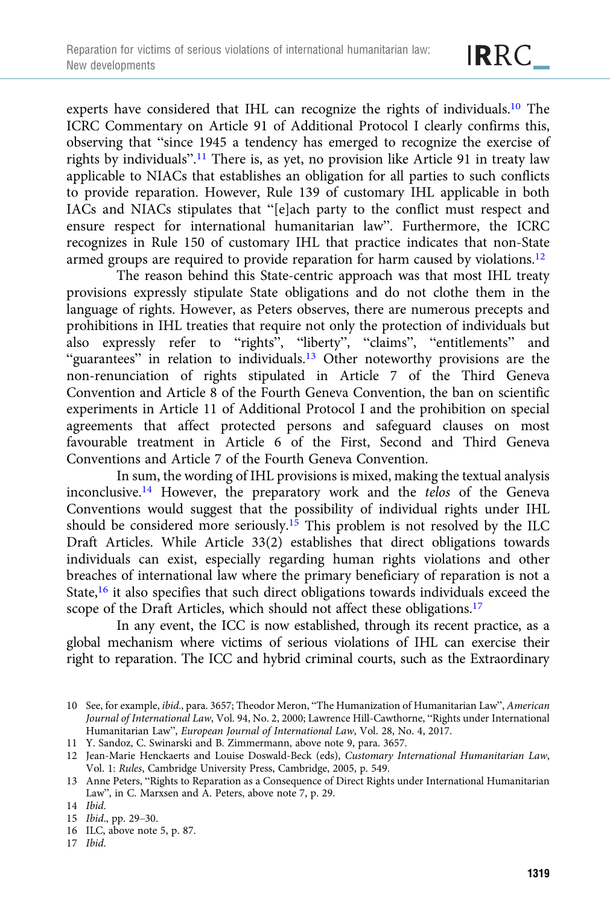experts have considered that IHL can recognize the rights of individuals.10 The ICRC Commentary on Article 91 of Additional Protocol I clearly confirms this, observing that "since 1945 a tendency has emerged to recognize the exercise of rights by individuals".<sup>11</sup> There is, as yet, no provision like Article 91 in treaty law applicable to NIACs that establishes an obligation for all parties to such conflicts to provide reparation. However, Rule 139 of customary IHL applicable in both IACs and NIACs stipulates that "[e]ach party to the conflict must respect and ensure respect for international humanitarian law". Furthermore, the ICRC recognizes in Rule 150 of customary IHL that practice indicates that non-State armed groups are required to provide reparation for harm caused by violations.<sup>12</sup>

The reason behind this State-centric approach was that most IHL treaty provisions expressly stipulate State obligations and do not clothe them in the language of rights. However, as Peters observes, there are numerous precepts and prohibitions in IHL treaties that require not only the protection of individuals but also expressly refer to "rights", "liberty", "claims", "entitlements" and "guarantees" in relation to individuals.<sup>13</sup> Other noteworthy provisions are the non-renunciation of rights stipulated in Article 7 of the Third Geneva Convention and Article 8 of the Fourth Geneva Convention, the ban on scientific experiments in Article 11 of Additional Protocol I and the prohibition on special agreements that affect protected persons and safeguard clauses on most favourable treatment in Article 6 of the First, Second and Third Geneva Conventions and Article 7 of the Fourth Geneva Convention.

In sum, the wording of IHL provisions is mixed, making the textual analysis inconclusive.<sup>14</sup> However, the preparatory work and the telos of the Geneva Conventions would suggest that the possibility of individual rights under IHL should be considered more seriously.15 This problem is not resolved by the ILC Draft Articles. While Article 33(2) establishes that direct obligations towards individuals can exist, especially regarding human rights violations and other breaches of international law where the primary beneficiary of reparation is not a State,<sup>16</sup> it also specifies that such direct obligations towards individuals exceed the scope of the Draft Articles, which should not affect these obligations.<sup>17</sup>

In any event, the ICC is now established, through its recent practice, as a global mechanism where victims of serious violations of IHL can exercise their right to reparation. The ICC and hybrid criminal courts, such as the Extraordinary

<sup>10</sup> See, for example, ibid., para. 3657; Theodor Meron, "The Humanization of Humanitarian Law", American Journal of International Law, Vol. 94, No. 2, 2000; Lawrence Hill-Cawthorne, "Rights under International Humanitarian Law", European Journal of International Law, Vol. 28, No. 4, 2017.

<sup>11</sup> Y. Sandoz, C. Swinarski and B. Zimmermann, above note 9, para. 3657.

<sup>12</sup> Jean-Marie Henckaerts and Louise Doswald-Beck (eds), Customary International Humanitarian Law, Vol. 1: Rules, Cambridge University Press, Cambridge, 2005, p. 549.

<sup>13</sup> Anne Peters, "Rights to Reparation as a Consequence of Direct Rights under International Humanitarian Law", in C. Marxsen and A. Peters, above note 7, p. 29.

<sup>14</sup> Ibid.

<sup>15</sup> Ibid., pp. 29–30.

<sup>16</sup> ILC, above note 5, p. 87.

<sup>17</sup> Ibid.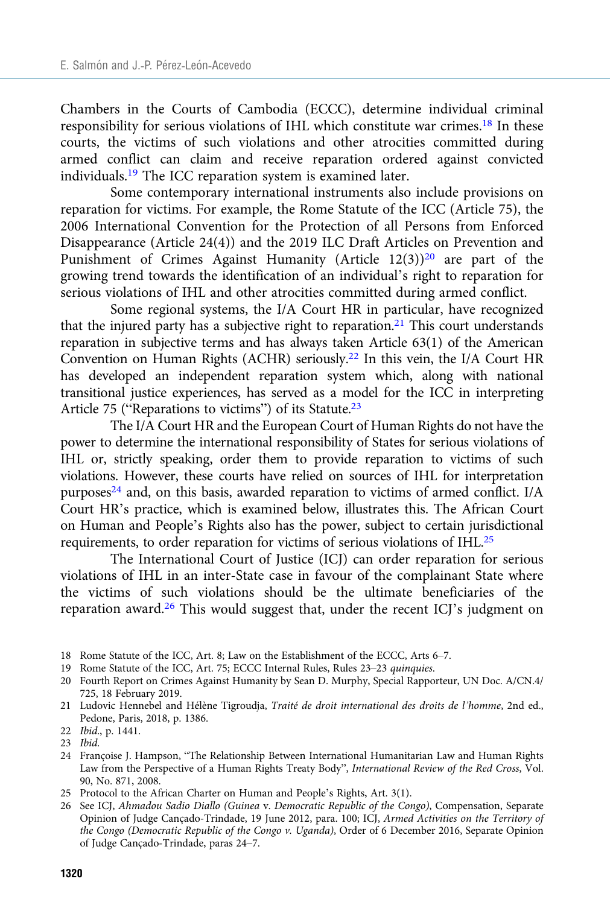Chambers in the Courts of Cambodia (ECCC), determine individual criminal responsibility for serious violations of IHL which constitute war crimes.18 In these courts, the victims of such violations and other atrocities committed during armed conflict can claim and receive reparation ordered against convicted individuals.19 The ICC reparation system is examined later.

Some contemporary international instruments also include provisions on reparation for victims. For example, the Rome Statute of the ICC (Article 75), the 2006 International Convention for the Protection of all Persons from Enforced Disappearance (Article 24(4)) and the 2019 ILC Draft Articles on Prevention and Punishment of Crimes Against Humanity (Article  $12(3)$ )<sup>20</sup> are part of the growing trend towards the identification of an individual's right to reparation for serious violations of IHL and other atrocities committed during armed conflict.

Some regional systems, the I/A Court HR in particular, have recognized that the injured party has a subjective right to reparation.<sup>21</sup> This court understands reparation in subjective terms and has always taken Article 63(1) of the American Convention on Human Rights (ACHR) seriously.22 In this vein, the I/A Court HR has developed an independent reparation system which, along with national transitional justice experiences, has served as a model for the ICC in interpreting Article 75 ("Reparations to victims") of its Statute.<sup>23</sup>

The I/A Court HR and the European Court of Human Rights do not have the power to determine the international responsibility of States for serious violations of IHL or, strictly speaking, order them to provide reparation to victims of such violations. However, these courts have relied on sources of IHL for interpretation purposes<sup>24</sup> and, on this basis, awarded reparation to victims of armed conflict. I/A Court HR's practice, which is examined below, illustrates this. The African Court on Human and People's Rights also has the power, subject to certain jurisdictional requirements, to order reparation for victims of serious violations of IHL.25

The International Court of Justice (ICJ) can order reparation for serious violations of IHL in an inter-State case in favour of the complainant State where the victims of such violations should be the ultimate beneficiaries of the reparation award.26 This would suggest that, under the recent ICJ's judgment on

- 24 Françoise J. Hampson, "The Relationship Between International Humanitarian Law and Human Rights Law from the Perspective of a Human Rights Treaty Body", International Review of the Red Cross, Vol. 90, No. 871, 2008.
- 25 Protocol to the African Charter on Human and People's Rights, Art. 3(1).
- 26 See ICJ, Ahmadou Sadio Diallo (Guinea v. Democratic Republic of the Congo), Compensation, Separate Opinion of Judge Cançado-Trindade, 19 June 2012, para. 100; ICJ, Armed Activities on the Territory of the Congo (Democratic Republic of the Congo v. Uganda), Order of 6 December 2016, Separate Opinion of Judge Cançado-Trindade, paras 24–7.

<sup>18</sup> Rome Statute of the ICC, Art. 8; Law on the Establishment of the ECCC, Arts 6–7.

<sup>19</sup> Rome Statute of the ICC, Art. 75; ECCC Internal Rules, Rules 23–23 quinquies.

<sup>20</sup> Fourth Report on Crimes Against Humanity by Sean D. Murphy, Special Rapporteur, UN Doc. A/CN.4/ 725, 18 February 2019.

<sup>21</sup> Ludovic Hennebel and Hélène Tigroudja, Traité de droit international des droits de l'homme, 2nd ed., Pedone, Paris, 2018, p. 1386.

<sup>22</sup> Ibid., p. 1441.

<sup>23</sup> Ibid.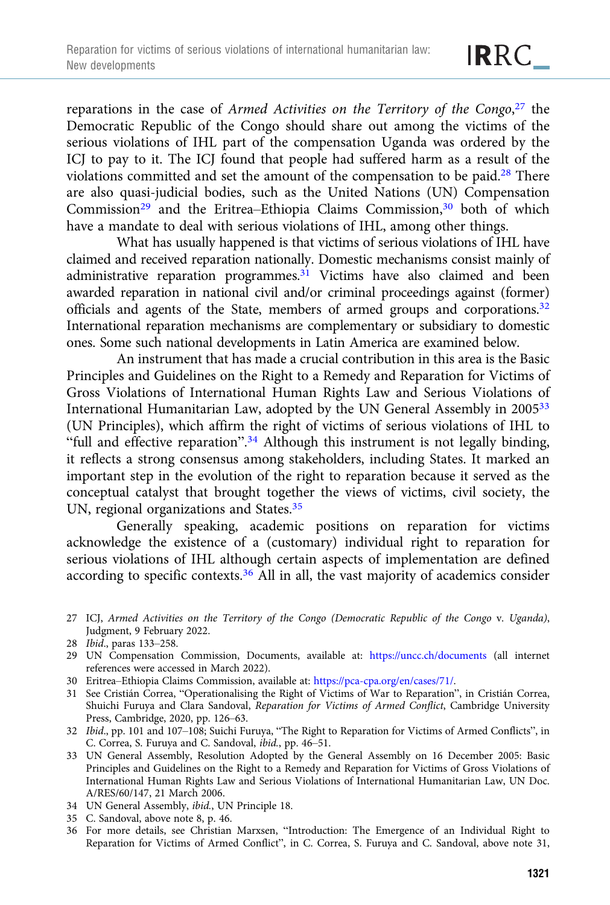reparations in the case of Armed Activities on the Territory of the Congo,<sup>27</sup> the Democratic Republic of the Congo should share out among the victims of the serious violations of IHL part of the compensation Uganda was ordered by the ICJ to pay to it. The ICJ found that people had suffered harm as a result of the violations committed and set the amount of the compensation to be paid.<sup>28</sup> There are also quasi-judicial bodies, such as the United Nations (UN) Compensation Commission<sup>29</sup> and the Eritrea–Ethiopia Claims Commission,<sup>30</sup> both of which have a mandate to deal with serious violations of IHL, among other things.

What has usually happened is that victims of serious violations of IHL have claimed and received reparation nationally. Domestic mechanisms consist mainly of administrative reparation programmes.<sup>31</sup> Victims have also claimed and been awarded reparation in national civil and/or criminal proceedings against (former) officials and agents of the State, members of armed groups and corporations.<sup>32</sup> International reparation mechanisms are complementary or subsidiary to domestic ones. Some such national developments in Latin America are examined below.

An instrument that has made a crucial contribution in this area is the Basic Principles and Guidelines on the Right to a Remedy and Reparation for Victims of Gross Violations of International Human Rights Law and Serious Violations of International Humanitarian Law, adopted by the UN General Assembly in 200533 (UN Principles), which affirm the right of victims of serious violations of IHL to "full and effective reparation".<sup>34</sup> Although this instrument is not legally binding, it reflects a strong consensus among stakeholders, including States. It marked an important step in the evolution of the right to reparation because it served as the conceptual catalyst that brought together the views of victims, civil society, the UN, regional organizations and States.35

Generally speaking, academic positions on reparation for victims acknowledge the existence of a (customary) individual right to reparation for serious violations of IHL although certain aspects of implementation are defined according to specific contexts.36 All in all, the vast majority of academics consider

- 27 ICJ, Armed Activities on the Territory of the Congo (Democratic Republic of the Congo v. Uganda), Judgment, 9 February 2022.
- 28 Ibid., paras 133–258.
- 29 UN Compensation Commission, Documents, available at: <https://uncc.ch/documents> (all internet references were accessed in March 2022).
- 30 Eritrea–Ethiopia Claims Commission, available at: [https://pca-cpa.org/en/cases/71/.](https://pca-cpa.org/en/cases/71/)
- 31 See Cristián Correa, "Operationalising the Right of Victims of War to Reparation", in Cristián Correa, Shuichi Furuya and Clara Sandoval, Reparation for Victims of Armed Conflict, Cambridge University Press, Cambridge, 2020, pp. 126–63.
- 32 Ibid., pp. 101 and 107–108; Suichi Furuya, "The Right to Reparation for Victims of Armed Conflicts", in C. Correa, S. Furuya and C. Sandoval, ibid., pp. 46–51.
- 33 UN General Assembly, Resolution Adopted by the General Assembly on 16 December 2005: Basic Principles and Guidelines on the Right to a Remedy and Reparation for Victims of Gross Violations of International Human Rights Law and Serious Violations of International Humanitarian Law, UN Doc. A/RES/60/147, 21 March 2006.
- 34 UN General Assembly, ibid., UN Principle 18.
- 35 C. Sandoval, above note 8, p. 46.
- 36 For more details, see Christian Marxsen, "Introduction: The Emergence of an Individual Right to Reparation for Victims of Armed Conflict", in C. Correa, S. Furuya and C. Sandoval, above note 31,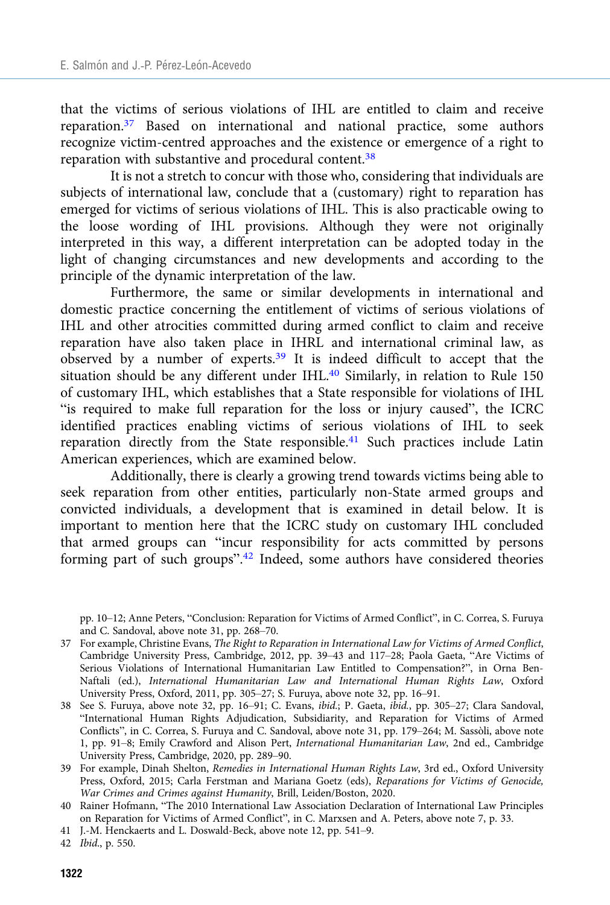that the victims of serious violations of IHL are entitled to claim and receive reparation.37 Based on international and national practice, some authors recognize victim-centred approaches and the existence or emergence of a right to reparation with substantive and procedural content.38

It is not a stretch to concur with those who, considering that individuals are subjects of international law, conclude that a (customary) right to reparation has emerged for victims of serious violations of IHL. This is also practicable owing to the loose wording of IHL provisions. Although they were not originally interpreted in this way, a different interpretation can be adopted today in the light of changing circumstances and new developments and according to the principle of the dynamic interpretation of the law.

Furthermore, the same or similar developments in international and domestic practice concerning the entitlement of victims of serious violations of IHL and other atrocities committed during armed conflict to claim and receive reparation have also taken place in IHRL and international criminal law, as observed by a number of experts.39 It is indeed difficult to accept that the situation should be any different under IHL.<sup>40</sup> Similarly, in relation to Rule 150 of customary IHL, which establishes that a State responsible for violations of IHL "is required to make full reparation for the loss or injury caused", the ICRC identified practices enabling victims of serious violations of IHL to seek reparation directly from the State responsible.<sup>41</sup> Such practices include Latin American experiences, which are examined below.

Additionally, there is clearly a growing trend towards victims being able to seek reparation from other entities, particularly non-State armed groups and convicted individuals, a development that is examined in detail below. It is important to mention here that the ICRC study on customary IHL concluded that armed groups can "incur responsibility for acts committed by persons forming part of such groups".<sup>42</sup> Indeed, some authors have considered theories

pp. 10–12; Anne Peters, "Conclusion: Reparation for Victims of Armed Conflict", in C. Correa, S. Furuya and C. Sandoval, above note 31, pp. 268–70.

- 37 For example, Christine Evans, The Right to Reparation in International Law for Victims of Armed Conflict, Cambridge University Press, Cambridge, 2012, pp. 39–43 and 117–28; Paola Gaeta, "Are Victims of Serious Violations of International Humanitarian Law Entitled to Compensation?", in Orna Ben-Naftali (ed.), International Humanitarian Law and International Human Rights Law, Oxford University Press, Oxford, 2011, pp. 305–27; S. Furuya, above note 32, pp. 16–91.
- 38 See S. Furuya, above note 32, pp. 16–91; C. Evans, ibid.; P. Gaeta, ibid., pp. 305–27; Clara Sandoval, "International Human Rights Adjudication, Subsidiarity, and Reparation for Victims of Armed Conflicts", in C. Correa, S. Furuya and C. Sandoval, above note 31, pp. 179–264; M. Sassòli, above note 1, pp. 91–8; Emily Crawford and Alison Pert, International Humanitarian Law, 2nd ed., Cambridge University Press, Cambridge, 2020, pp. 289–90.
- 39 For example, Dinah Shelton, Remedies in International Human Rights Law, 3rd ed., Oxford University Press, Oxford, 2015; Carla Ferstman and Mariana Goetz (eds), Reparations for Victims of Genocide, War Crimes and Crimes against Humanity, Brill, Leiden/Boston, 2020.
- 40 Rainer Hofmann, "The 2010 International Law Association Declaration of International Law Principles on Reparation for Victims of Armed Conflict", in C. Marxsen and A. Peters, above note 7, p. 33.
- 41 J.-M. Henckaerts and L. Doswald-Beck, above note 12, pp. 541–9.
- 42 Ibid., p. 550.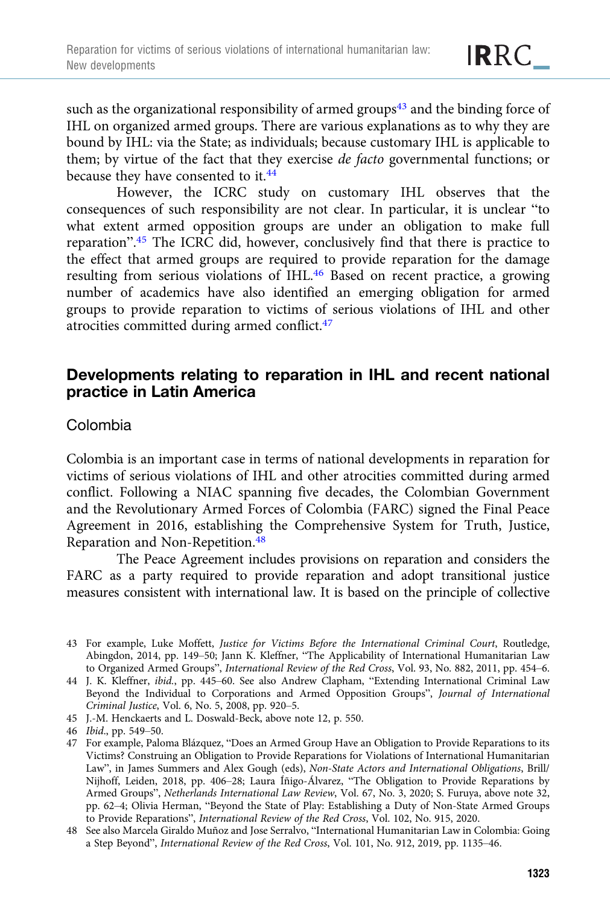such as the organizational responsibility of armed groups<sup> $43$ </sup> and the binding force of IHL on organized armed groups. There are various explanations as to why they are bound by IHL: via the State; as individuals; because customary IHL is applicable to them; by virtue of the fact that they exercise de facto governmental functions; or because they have consented to it.<sup>44</sup>

However, the ICRC study on customary IHL observes that the consequences of such responsibility are not clear. In particular, it is unclear "to what extent armed opposition groups are under an obligation to make full reparation".<sup>45</sup> The ICRC did, however, conclusively find that there is practice to the effect that armed groups are required to provide reparation for the damage resulting from serious violations of IHL.46 Based on recent practice, a growing number of academics have also identified an emerging obligation for armed groups to provide reparation to victims of serious violations of IHL and other atrocities committed during armed conflict.47

# Developments relating to reparation in IHL and recent national practice in Latin America

## Colombia

Colombia is an important case in terms of national developments in reparation for victims of serious violations of IHL and other atrocities committed during armed conflict. Following a NIAC spanning five decades, the Colombian Government and the Revolutionary Armed Forces of Colombia (FARC) signed the Final Peace Agreement in 2016, establishing the Comprehensive System for Truth, Justice, Reparation and Non-Repetition.48

The Peace Agreement includes provisions on reparation and considers the FARC as a party required to provide reparation and adopt transitional justice measures consistent with international law. It is based on the principle of collective

45 J.-M. Henckaerts and L. Doswald-Beck, above note 12, p. 550.

<sup>43</sup> For example, Luke Moffett, Justice for Victims Before the International Criminal Court, Routledge, Abingdon, 2014, pp. 149–50; Jann K. Kleffner, "The Applicability of International Humanitarian Law to Organized Armed Groups", International Review of the Red Cross, Vol. 93, No. 882, 2011, pp. 454–6.

<sup>44</sup> J. K. Kleffner, ibid., pp. 445–60. See also Andrew Clapham, "Extending International Criminal Law Beyond the Individual to Corporations and Armed Opposition Groups", Journal of International Criminal Justice, Vol. 6, No. 5, 2008, pp. 920–5.

<sup>46</sup> Ibid., pp. 549–50.

<sup>47</sup> For example, Paloma Blázquez, "Does an Armed Group Have an Obligation to Provide Reparations to its Victims? Construing an Obligation to Provide Reparations for Violations of International Humanitarian Law", in James Summers and Alex Gough (eds), Non-State Actors and International Obligations, Brill/ Nijhoff, Leiden, 2018, pp. 406–28; Laura Íñigo-Álvarez, "The Obligation to Provide Reparations by Armed Groups", Netherlands International Law Review, Vol. 67, No. 3, 2020; S. Furuya, above note 32, pp. 62–4; Olivia Herman, "Beyond the State of Play: Establishing a Duty of Non-State Armed Groups to Provide Reparations", International Review of the Red Cross, Vol. 102, No. 915, 2020.

<sup>48</sup> See also Marcela Giraldo Muñoz and Jose Serralvo, "International Humanitarian Law in Colombia: Going a Step Beyond", International Review of the Red Cross, Vol. 101, No. 912, 2019, pp. 1135–46.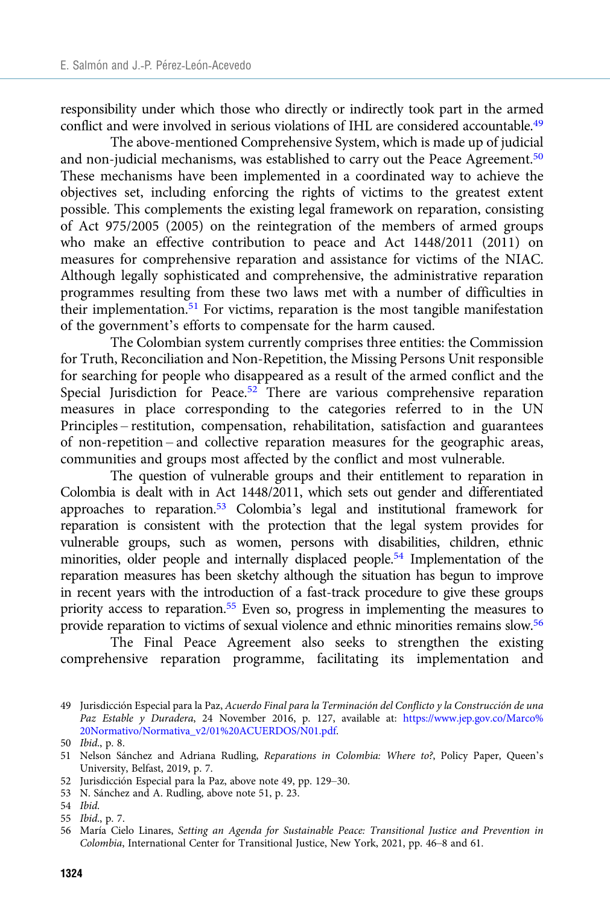responsibility under which those who directly or indirectly took part in the armed conflict and were involved in serious violations of IHL are considered accountable.49

The above-mentioned Comprehensive System, which is made up of judicial and non-judicial mechanisms, was established to carry out the Peace Agreement.<sup>50</sup> These mechanisms have been implemented in a coordinated way to achieve the objectives set, including enforcing the rights of victims to the greatest extent possible. This complements the existing legal framework on reparation, consisting of Act 975/2005 (2005) on the reintegration of the members of armed groups who make an effective contribution to peace and Act 1448/2011 (2011) on measures for comprehensive reparation and assistance for victims of the NIAC. Although legally sophisticated and comprehensive, the administrative reparation programmes resulting from these two laws met with a number of difficulties in their implementation.<sup>51</sup> For victims, reparation is the most tangible manifestation of the government's efforts to compensate for the harm caused.

The Colombian system currently comprises three entities: the Commission for Truth, Reconciliation and Non-Repetition, the Missing Persons Unit responsible for searching for people who disappeared as a result of the armed conflict and the Special Jurisdiction for Peace.<sup>52</sup> There are various comprehensive reparation measures in place corresponding to the categories referred to in the UN Principles – restitution, compensation, rehabilitation, satisfaction and guarantees of non-repetition – and collective reparation measures for the geographic areas, communities and groups most affected by the conflict and most vulnerable.

The question of vulnerable groups and their entitlement to reparation in Colombia is dealt with in Act 1448/2011, which sets out gender and differentiated approaches to reparation.53 Colombia's legal and institutional framework for reparation is consistent with the protection that the legal system provides for vulnerable groups, such as women, persons with disabilities, children, ethnic minorities, older people and internally displaced people.54 Implementation of the reparation measures has been sketchy although the situation has begun to improve in recent years with the introduction of a fast-track procedure to give these groups priority access to reparation.<sup>55</sup> Even so, progress in implementing the measures to provide reparation to victims of sexual violence and ethnic minorities remains slow.56

The Final Peace Agreement also seeks to strengthen the existing comprehensive reparation programme, facilitating its implementation and

- 52 Jurisdicción Especial para la Paz, above note 49, pp. 129–30.
- 53 N. Sánchez and A. Rudling, above note 51, p. 23.
- 54 Ibid.

<sup>49</sup> Jurisdicción Especial para la Paz, Acuerdo Final para la Terminación del Conflicto y la Construcción de una Paz Estable y Duradera, 24 November 2016, p. 127, available at: [https://www.jep.gov.co/Marco%](https://www.jep.gov.co/Marco%20Normativo/Normativa_v2/01%20ACUERDOS/N01.pdf) [20Normativo/Normativa\\_v2/01%20ACUERDOS/N01.pdf](https://www.jep.gov.co/Marco%20Normativo/Normativa_v2/01%20ACUERDOS/N01.pdf).

<sup>50</sup> Ibid., p. 8.

<sup>51</sup> Nelson Sánchez and Adriana Rudling, Reparations in Colombia: Where to?, Policy Paper, Queen's University, Belfast, 2019, p. 7.

<sup>55</sup> Ibid., p. 7.

<sup>56</sup> María Cielo Linares, Setting an Agenda for Sustainable Peace: Transitional Justice and Prevention in Colombia, International Center for Transitional Justice, New York, 2021, pp. 46–8 and 61.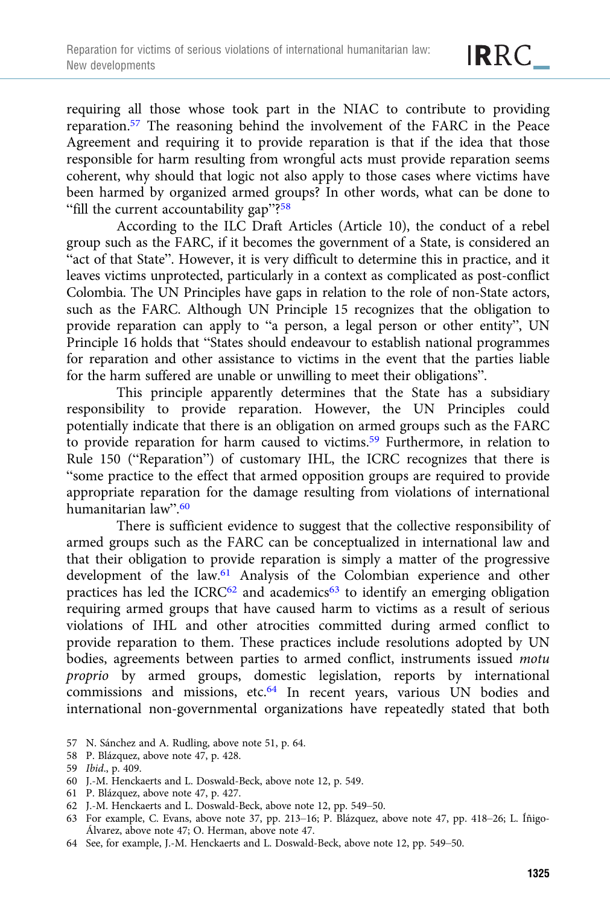requiring all those whose took part in the NIAC to contribute to providing reparation.57 The reasoning behind the involvement of the FARC in the Peace Agreement and requiring it to provide reparation is that if the idea that those responsible for harm resulting from wrongful acts must provide reparation seems coherent, why should that logic not also apply to those cases where victims have been harmed by organized armed groups? In other words, what can be done to "fill the current accountability gap"?<sup>58</sup>

According to the ILC Draft Articles (Article 10), the conduct of a rebel group such as the FARC, if it becomes the government of a State, is considered an "act of that State". However, it is very difficult to determine this in practice, and it leaves victims unprotected, particularly in a context as complicated as post-conflict Colombia. The UN Principles have gaps in relation to the role of non-State actors, such as the FARC. Although UN Principle 15 recognizes that the obligation to provide reparation can apply to "a person, a legal person or other entity", UN Principle 16 holds that "States should endeavour to establish national programmes for reparation and other assistance to victims in the event that the parties liable for the harm suffered are unable or unwilling to meet their obligations".

This principle apparently determines that the State has a subsidiary responsibility to provide reparation. However, the UN Principles could potentially indicate that there is an obligation on armed groups such as the FARC to provide reparation for harm caused to victims.<sup>59</sup> Furthermore, in relation to Rule 150 ("Reparation") of customary IHL, the ICRC recognizes that there is "some practice to the effect that armed opposition groups are required to provide appropriate reparation for the damage resulting from violations of international humanitarian law".<sup>60</sup>

There is sufficient evidence to suggest that the collective responsibility of armed groups such as the FARC can be conceptualized in international law and that their obligation to provide reparation is simply a matter of the progressive development of the law.61 Analysis of the Colombian experience and other practices has led the ICRC $62$  and academics $63$  to identify an emerging obligation requiring armed groups that have caused harm to victims as a result of serious violations of IHL and other atrocities committed during armed conflict to provide reparation to them. These practices include resolutions adopted by UN bodies, agreements between parties to armed conflict, instruments issued motu proprio by armed groups, domestic legislation, reports by international commissions and missions, etc.64 In recent years, various UN bodies and international non-governmental organizations have repeatedly stated that both

- 57 N. Sánchez and A. Rudling, above note 51, p. 64.
- 58 P. Blázquez, above note 47, p. 428.

- 60 J.-M. Henckaerts and L. Doswald-Beck, above note 12, p. 549.
- 61 P. Blázquez, above note 47, p. 427.
- 62 J.-M. Henckaerts and L. Doswald-Beck, above note 12, pp. 549–50.
- 63 For example, C. Evans, above note 37, pp. 213–16; P. Blázquez, above note 47, pp. 418–26; L. Íñigo-Álvarez, above note 47; O. Herman, above note 47.
- 64 See, for example, J.-M. Henckaerts and L. Doswald-Beck, above note 12, pp. 549–50.

<sup>59</sup> Ibid., p. 409.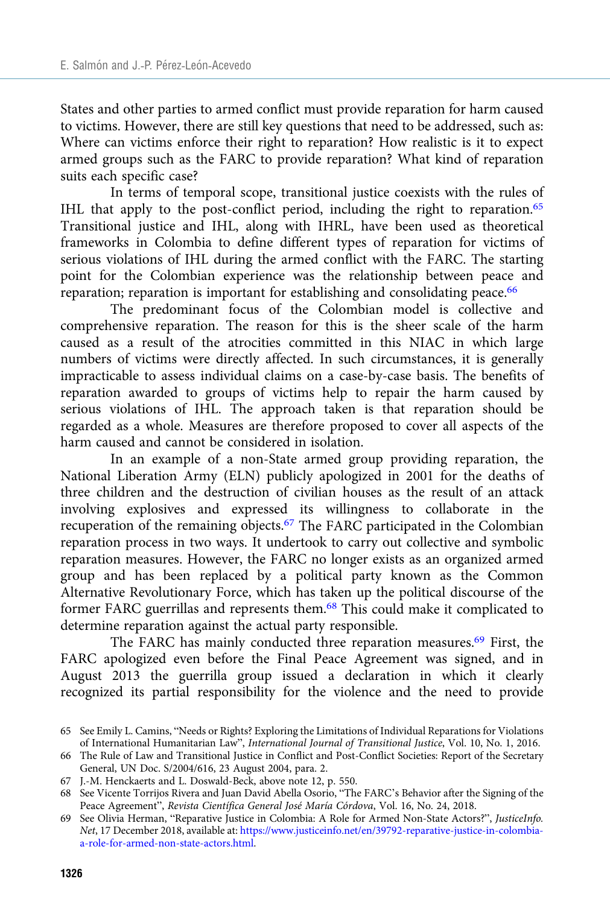States and other parties to armed conflict must provide reparation for harm caused to victims. However, there are still key questions that need to be addressed, such as: Where can victims enforce their right to reparation? How realistic is it to expect armed groups such as the FARC to provide reparation? What kind of reparation suits each specific case?

In terms of temporal scope, transitional justice coexists with the rules of IHL that apply to the post-conflict period, including the right to reparation.<sup>65</sup> Transitional justice and IHL, along with IHRL, have been used as theoretical frameworks in Colombia to define different types of reparation for victims of serious violations of IHL during the armed conflict with the FARC. The starting point for the Colombian experience was the relationship between peace and reparation; reparation is important for establishing and consolidating peace.<sup>66</sup>

The predominant focus of the Colombian model is collective and comprehensive reparation. The reason for this is the sheer scale of the harm caused as a result of the atrocities committed in this NIAC in which large numbers of victims were directly affected. In such circumstances, it is generally impracticable to assess individual claims on a case-by-case basis. The benefits of reparation awarded to groups of victims help to repair the harm caused by serious violations of IHL. The approach taken is that reparation should be regarded as a whole. Measures are therefore proposed to cover all aspects of the harm caused and cannot be considered in isolation.

In an example of a non-State armed group providing reparation, the National Liberation Army (ELN) publicly apologized in 2001 for the deaths of three children and the destruction of civilian houses as the result of an attack involving explosives and expressed its willingness to collaborate in the recuperation of the remaining objects.67 The FARC participated in the Colombian reparation process in two ways. It undertook to carry out collective and symbolic reparation measures. However, the FARC no longer exists as an organized armed group and has been replaced by a political party known as the Common Alternative Revolutionary Force, which has taken up the political discourse of the former FARC guerrillas and represents them.<sup>68</sup> This could make it complicated to determine reparation against the actual party responsible.

The FARC has mainly conducted three reparation measures.<sup>69</sup> First, the FARC apologized even before the Final Peace Agreement was signed, and in August 2013 the guerrilla group issued a declaration in which it clearly recognized its partial responsibility for the violence and the need to provide

<sup>65</sup> See Emily L. Camins, "Needs or Rights? Exploring the Limitations of Individual Reparations for Violations of International Humanitarian Law", International Journal of Transitional Justice, Vol. 10, No. 1, 2016.

<sup>66</sup> The Rule of Law and Transitional Justice in Conflict and Post-Conflict Societies: Report of the Secretary General, UN Doc. S/2004/616, 23 August 2004, para. 2.

<sup>67</sup> J.-M. Henckaerts and L. Doswald-Beck, above note 12, p. 550.

<sup>68</sup> See Vicente Torrijos Rivera and Juan David Abella Osorio, "The FARC's Behavior after the Signing of the Peace Agreement", Revista Científica General José María Córdova, Vol. 16, No. 24, 2018.

<sup>69</sup> See Olivia Herman, "Reparative Justice in Colombia: A Role for Armed Non-State Actors?", JusticeInfo. Net, 17 December 2018, available at: [https://www.justiceinfo.net/en/39792-reparative-justice-in-colombia](https://www.justiceinfo.net/en/39792-reparative-justice-in-colombia-a-role-for-armed-non-state-actors.html)[a-role-for-armed-non-state-actors.html.](https://www.justiceinfo.net/en/39792-reparative-justice-in-colombia-a-role-for-armed-non-state-actors.html)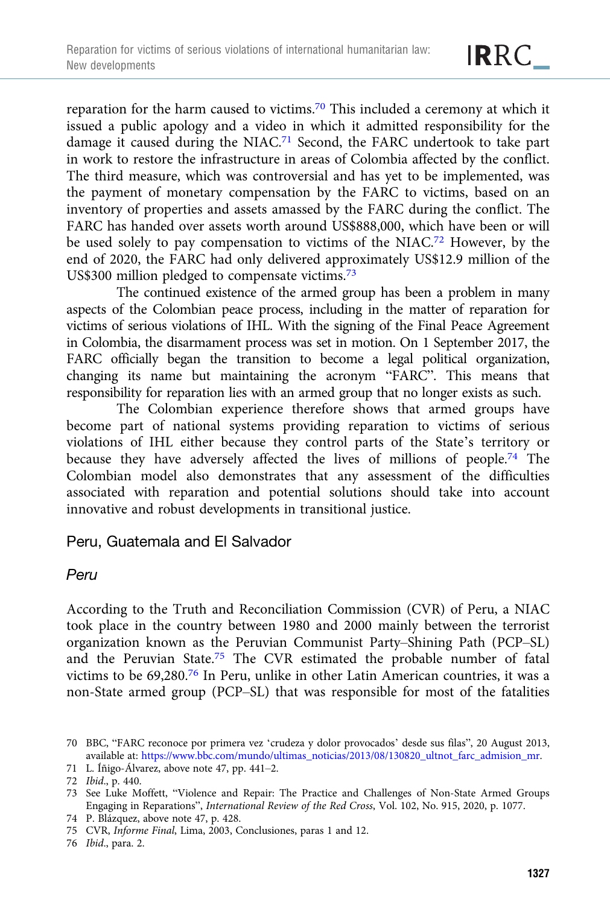reparation for the harm caused to victims.70 This included a ceremony at which it issued a public apology and a video in which it admitted responsibility for the damage it caused during the NIAC.<sup>71</sup> Second, the FARC undertook to take part in work to restore the infrastructure in areas of Colombia affected by the conflict. The third measure, which was controversial and has yet to be implemented, was the payment of monetary compensation by the FARC to victims, based on an inventory of properties and assets amassed by the FARC during the conflict. The FARC has handed over assets worth around US\$888,000, which have been or will be used solely to pay compensation to victims of the NIAC.72 However, by the end of 2020, the FARC had only delivered approximately US\$12.9 million of the US\$300 million pledged to compensate victims.73

The continued existence of the armed group has been a problem in many aspects of the Colombian peace process, including in the matter of reparation for victims of serious violations of IHL. With the signing of the Final Peace Agreement in Colombia, the disarmament process was set in motion. On 1 September 2017, the FARC officially began the transition to become a legal political organization, changing its name but maintaining the acronym "FARC". This means that responsibility for reparation lies with an armed group that no longer exists as such.

The Colombian experience therefore shows that armed groups have become part of national systems providing reparation to victims of serious violations of IHL either because they control parts of the State's territory or because they have adversely affected the lives of millions of people.<sup>74</sup> The Colombian model also demonstrates that any assessment of the difficulties associated with reparation and potential solutions should take into account innovative and robust developments in transitional justice.

#### Peru, Guatemala and El Salvador

#### Peru

According to the Truth and Reconciliation Commission (CVR) of Peru, a NIAC took place in the country between 1980 and 2000 mainly between the terrorist organization known as the Peruvian Communist Party–Shining Path (PCP–SL) and the Peruvian State.<sup>75</sup> The CVR estimated the probable number of fatal victims to be 69,280.76 In Peru, unlike in other Latin American countries, it was a non-State armed group (PCP–SL) that was responsible for most of the fatalities

74 P. Blázquez, above note 47, p. 428.

<sup>70</sup> BBC, "FARC reconoce por primera vez 'crudeza y dolor provocados' desde sus filas", 20 August 2013, available at: [https://www.bbc.com/mundo/ultimas\\_noticias/2013/08/130820\\_ultnot\\_farc\\_admision\\_mr.](https://www.bbc.com/mundo/ultimas_noticias/2013/08/130820_ultnot_farc_admision_mr)

<sup>71</sup> L. Íñigo-Álvarez, above note 47, pp. 441–2.

<sup>72</sup> Ibid., p. 440.

<sup>73</sup> See Luke Moffett, "Violence and Repair: The Practice and Challenges of Non-State Armed Groups Engaging in Reparations", International Review of the Red Cross, Vol. 102, No. 915, 2020, p. 1077.

<sup>75</sup> CVR, Informe Final, Lima, 2003, Conclusiones, paras 1 and 12.

<sup>76</sup> Ibid., para. 2.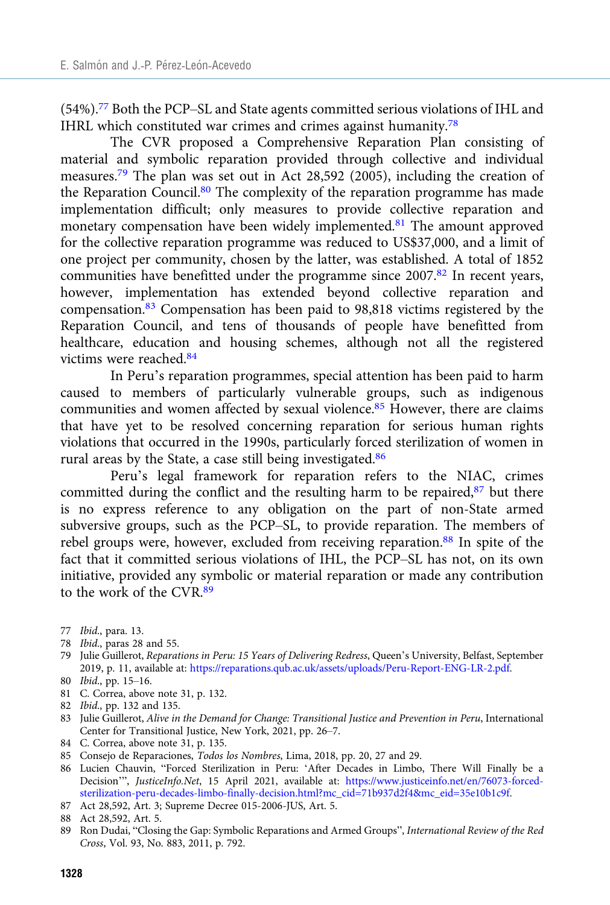(54%).77 Both the PCP–SL and State agents committed serious violations of IHL and IHRL which constituted war crimes and crimes against humanity.78

The CVR proposed a Comprehensive Reparation Plan consisting of material and symbolic reparation provided through collective and individual measures.79 The plan was set out in Act 28,592 (2005), including the creation of the Reparation Council.<sup>80</sup> The complexity of the reparation programme has made implementation difficult; only measures to provide collective reparation and monetary compensation have been widely implemented.<sup>81</sup> The amount approved for the collective reparation programme was reduced to US\$37,000, and a limit of one project per community, chosen by the latter, was established. A total of 1852 communities have benefitted under the programme since 2007.<sup>82</sup> In recent years, however, implementation has extended beyond collective reparation and compensation.<sup>83</sup> Compensation has been paid to 98,818 victims registered by the Reparation Council, and tens of thousands of people have benefitted from healthcare, education and housing schemes, although not all the registered victims were reached.84

In Peru's reparation programmes, special attention has been paid to harm caused to members of particularly vulnerable groups, such as indigenous communities and women affected by sexual violence.85 However, there are claims that have yet to be resolved concerning reparation for serious human rights violations that occurred in the 1990s, particularly forced sterilization of women in rural areas by the State, a case still being investigated.86

Peru's legal framework for reparation refers to the NIAC, crimes committed during the conflict and the resulting harm to be repaired, $87$  but there is no express reference to any obligation on the part of non-State armed subversive groups, such as the PCP–SL, to provide reparation. The members of rebel groups were, however, excluded from receiving reparation.<sup>88</sup> In spite of the fact that it committed serious violations of IHL, the PCP–SL has not, on its own initiative, provided any symbolic or material reparation or made any contribution to the work of the CVR.<sup>89</sup>

- 78 Ibid., paras 28 and 55.
- 79 Julie Guillerot, Reparations in Peru: 15 Years of Delivering Redress, Queen's University, Belfast, September 2019, p. 11, available at: <https://reparations.qub.ac.uk/assets/uploads/Peru-Report-ENG-LR-2.pdf>.
- 80 Ibid., pp. 15–16.
- 81 C. Correa, above note 31, p. 132.
- 82 Ibid., pp. 132 and 135.
- 83 Julie Guillerot, Alive in the Demand for Change: Transitional Justice and Prevention in Peru, International Center for Transitional Justice, New York, 2021, pp. 26–7.
- 84 C. Correa, above note 31, p. 135.
- 85 Consejo de Reparaciones, Todos los Nombres, Lima, 2018, pp. 20, 27 and 29.
- 86 Lucien Chauvin, "Forced Sterilization in Peru: 'After Decades in Limbo, There Will Finally be a Decision'", JusticeInfo.Net, 15 April 2021, available at: [https://www.justiceinfo.net/en/76073-forced](https://www.justiceinfo.net/en/76073-forced-sterilization-peru-decades-limbo-finally-decision.html?mc_cid=71b937d2f4&mc_eid=35e10b1c9f)[sterilization-peru-decades-limbo-finally-decision.html?mc\\_cid=71b937d2f4&mc\\_eid=35e10b1c9f](https://www.justiceinfo.net/en/76073-forced-sterilization-peru-decades-limbo-finally-decision.html?mc_cid=71b937d2f4&mc_eid=35e10b1c9f).
- 87 Act 28,592, Art. 3; Supreme Decree 015-2006-JUS, Art. 5.
- 88 Act 28,592, Art. 5.
- 89 Ron Dudai, "Closing the Gap: Symbolic Reparations and Armed Groups", International Review of the Red Cross, Vol. 93, No. 883, 2011, p. 792.

<sup>77</sup> Ibid., para. 13.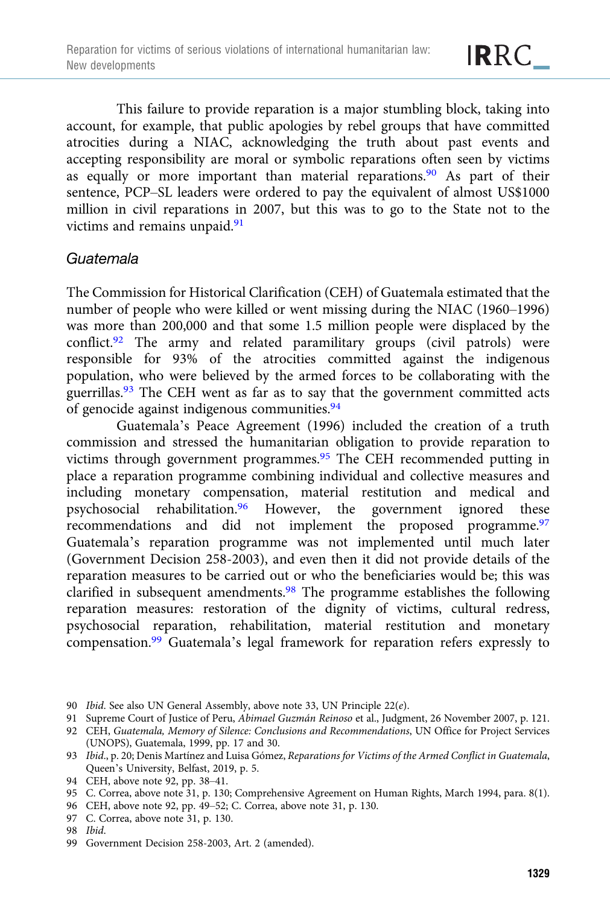This failure to provide reparation is a major stumbling block, taking into account, for example, that public apologies by rebel groups that have committed atrocities during a NIAC, acknowledging the truth about past events and accepting responsibility are moral or symbolic reparations often seen by victims as equally or more important than material reparations.<sup>90</sup> As part of their sentence, PCP–SL leaders were ordered to pay the equivalent of almost US\$1000 million in civil reparations in 2007, but this was to go to the State not to the victims and remains unpaid.<sup>91</sup>

## Guatemala

The Commission for Historical Clarification (CEH) of Guatemala estimated that the number of people who were killed or went missing during the NIAC (1960–1996) was more than 200,000 and that some 1.5 million people were displaced by the conflict.92 The army and related paramilitary groups (civil patrols) were responsible for 93% of the atrocities committed against the indigenous population, who were believed by the armed forces to be collaborating with the guerrillas.93 The CEH went as far as to say that the government committed acts of genocide against indigenous communities.<sup>94</sup>

Guatemala's Peace Agreement (1996) included the creation of a truth commission and stressed the humanitarian obligation to provide reparation to victims through government programmes.<sup>95</sup> The CEH recommended putting in place a reparation programme combining individual and collective measures and including monetary compensation, material restitution and medical and psychosocial rehabilitation.<sup>96</sup> However, the government ignored these recommendations and did not implement the proposed programme.<sup>97</sup> Guatemala's reparation programme was not implemented until much later (Government Decision 258-2003), and even then it did not provide details of the reparation measures to be carried out or who the beneficiaries would be; this was clarified in subsequent amendments.98 The programme establishes the following reparation measures: restoration of the dignity of victims, cultural redress, psychosocial reparation, rehabilitation, material restitution and monetary compensation.99 Guatemala's legal framework for reparation refers expressly to

- 90 Ibid. See also UN General Assembly, above note 33, UN Principle 22(e).
- 91 Supreme Court of Justice of Peru, Abimael Guzmán Reinoso et al., Judgment, 26 November 2007, p. 121.
- 92 CEH, Guatemala, Memory of Silence: Conclusions and Recommendations, UN Office for Project Services (UNOPS), Guatemala, 1999, pp. 17 and 30.
- 93 Ibid., p. 20; Denis Martínez and Luisa Gómez, Reparations for Victims of the Armed Conflict in Guatemala, Queen's University, Belfast, 2019, p. 5.
- 94 CEH, above note 92, pp. 38–41.
- 95 C. Correa, above note 31, p. 130; Comprehensive Agreement on Human Rights, March 1994, para. 8(1).
- 96 CEH, above note 92, pp. 49–52; C. Correa, above note 31, p. 130.
- 97 C. Correa, above note 31, p. 130.
- 98 Ibid.
- 99 Government Decision 258-2003, Art. 2 (amended).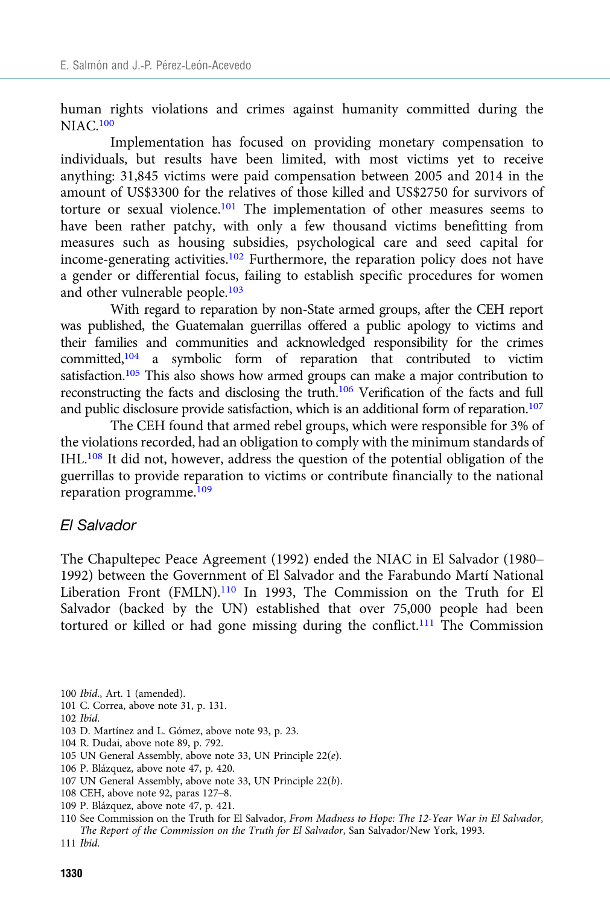human rights violations and crimes against humanity committed during the NIAC.100

Implementation has focused on providing monetary compensation to individuals, but results have been limited, with most victims yet to receive anything: 31,845 victims were paid compensation between 2005 and 2014 in the amount of US\$3300 for the relatives of those killed and US\$2750 for survivors of torture or sexual violence.<sup>101</sup> The implementation of other measures seems to have been rather patchy, with only a few thousand victims benefitting from measures such as housing subsidies, psychological care and seed capital for income-generating activities.102 Furthermore, the reparation policy does not have a gender or differential focus, failing to establish specific procedures for women and other vulnerable people.103

With regard to reparation by non-State armed groups, after the CEH report was published, the Guatemalan guerrillas offered a public apology to victims and their families and communities and acknowledged responsibility for the crimes committed,104 a symbolic form of reparation that contributed to victim satisfaction.<sup>105</sup> This also shows how armed groups can make a major contribution to reconstructing the facts and disclosing the truth.106 Verification of the facts and full and public disclosure provide satisfaction, which is an additional form of reparation.<sup>107</sup>

The CEH found that armed rebel groups, which were responsible for 3% of the violations recorded, had an obligation to comply with the minimum standards of IHL.108 It did not, however, address the question of the potential obligation of the guerrillas to provide reparation to victims or contribute financially to the national reparation programme.109

#### El Salvador

The Chapultepec Peace Agreement (1992) ended the NIAC in El Salvador (1980– 1992) between the Government of El Salvador and the Farabundo Martí National Liberation Front (FMLN).<sup>110</sup> In 1993, The Commission on the Truth for El Salvador (backed by the UN) established that over 75,000 people had been tortured or killed or had gone missing during the conflict.<sup>111</sup> The Commission

- 100 Ibid., Art. 1 (amended).
- 101 C. Correa, above note 31, p. 131.
- 102 Ibid.
- 103 D. Martínez and L. Gómez, above note 93, p. 23.
- 104 R. Dudai, above note 89, p. 792.
- 105 UN General Assembly, above note 33, UN Principle 22(e).
- 106 P. Blázquez, above note 47, p. 420.
- 107 UN General Assembly, above note 33, UN Principle 22(b).
- 108 CEH, above note 92, paras 127–8.
- 109 P. Blázquez, above note 47, p. 421.
- 110 See Commission on the Truth for El Salvador, From Madness to Hope: The 12-Year War in El Salvador, The Report of the Commission on the Truth for El Salvador, San Salvador/New York, 1993.
- 111 Ibid.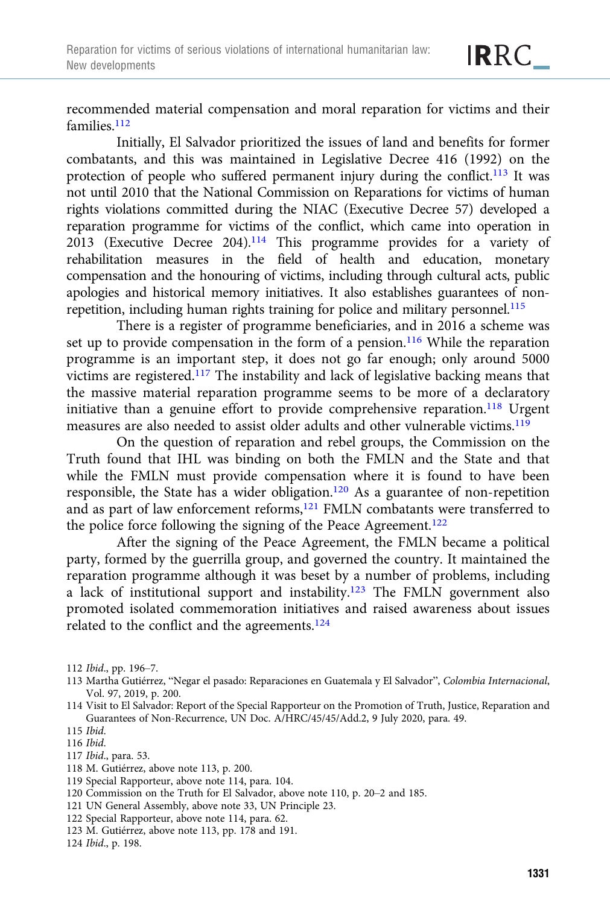recommended material compensation and moral reparation for victims and their families.<sup>112</sup>

Initially, El Salvador prioritized the issues of land and benefits for former combatants, and this was maintained in Legislative Decree 416 (1992) on the protection of people who suffered permanent injury during the conflict.<sup>113</sup> It was not until 2010 that the National Commission on Reparations for victims of human rights violations committed during the NIAC (Executive Decree 57) developed a reparation programme for victims of the conflict, which came into operation in 2013 (Executive Decree 204).114 This programme provides for a variety of rehabilitation measures in the field of health and education, monetary compensation and the honouring of victims, including through cultural acts, public apologies and historical memory initiatives. It also establishes guarantees of nonrepetition, including human rights training for police and military personnel.<sup>115</sup>

There is a register of programme beneficiaries, and in 2016 a scheme was set up to provide compensation in the form of a pension.<sup>116</sup> While the reparation programme is an important step, it does not go far enough; only around 5000 victims are registered.<sup>117</sup> The instability and lack of legislative backing means that the massive material reparation programme seems to be more of a declaratory initiative than a genuine effort to provide comprehensive reparation.<sup>118</sup> Urgent measures are also needed to assist older adults and other vulnerable victims.119

On the question of reparation and rebel groups, the Commission on the Truth found that IHL was binding on both the FMLN and the State and that while the FMLN must provide compensation where it is found to have been responsible, the State has a wider obligation.120 As a guarantee of non-repetition and as part of law enforcement reforms,121 FMLN combatants were transferred to the police force following the signing of the Peace Agreement.<sup>122</sup>

After the signing of the Peace Agreement, the FMLN became a political party, formed by the guerrilla group, and governed the country. It maintained the reparation programme although it was beset by a number of problems, including a lack of institutional support and instability.123 The FMLN government also promoted isolated commemoration initiatives and raised awareness about issues related to the conflict and the agreements.<sup>124</sup>

112 Ibid., pp. 196–7.

115 Ibid.

- 117 Ibid., para. 53.
- 118 M. Gutiérrez, above note 113, p. 200.

- 120 Commission on the Truth for El Salvador, above note 110, p. 20–2 and 185.
- 121 UN General Assembly, above note 33, UN Principle 23.
- 122 Special Rapporteur, above note 114, para. 62.
- 123 M. Gutiérrez, above note 113, pp. 178 and 191.

124 Ibid., p. 198.

<sup>113</sup> Martha Gutiérrez, "Negar el pasado: Reparaciones en Guatemala y El Salvador", Colombia Internacional, Vol. 97, 2019, p. 200.

<sup>114</sup> Visit to El Salvador: Report of the Special Rapporteur on the Promotion of Truth, Justice, Reparation and Guarantees of Non-Recurrence, UN Doc. A/HRC/45/45/Add.2, 9 July 2020, para. 49.

<sup>116</sup> Ibid.

<sup>119</sup> Special Rapporteur, above note 114, para. 104.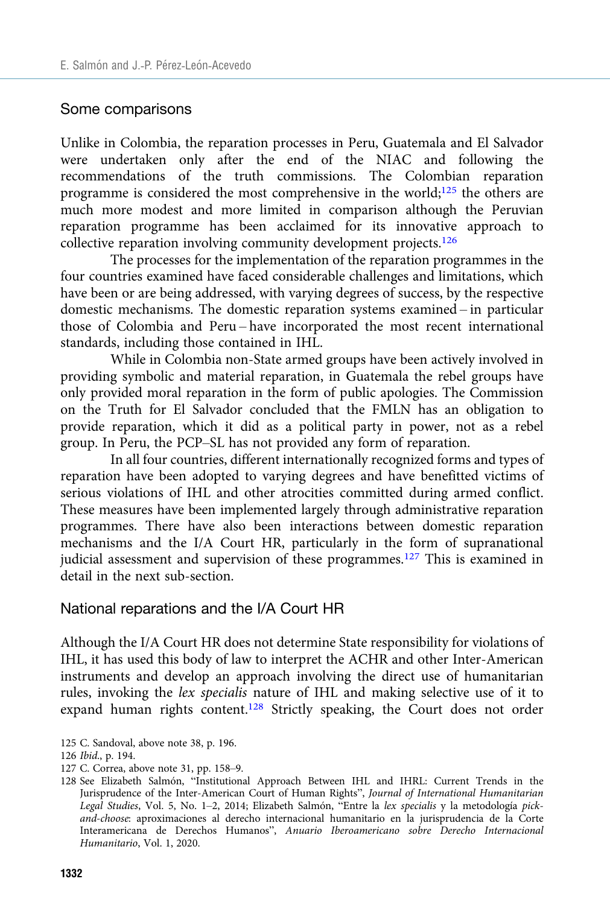#### Some comparisons

Unlike in Colombia, the reparation processes in Peru, Guatemala and El Salvador were undertaken only after the end of the NIAC and following the recommendations of the truth commissions. The Colombian reparation programme is considered the most comprehensive in the world; $125$  the others are much more modest and more limited in comparison although the Peruvian reparation programme has been acclaimed for its innovative approach to collective reparation involving community development projects.<sup>126</sup>

The processes for the implementation of the reparation programmes in the four countries examined have faced considerable challenges and limitations, which have been or are being addressed, with varying degrees of success, by the respective domestic mechanisms. The domestic reparation systems examined – in particular those of Colombia and Peru – have incorporated the most recent international standards, including those contained in IHL.

While in Colombia non-State armed groups have been actively involved in providing symbolic and material reparation, in Guatemala the rebel groups have only provided moral reparation in the form of public apologies. The Commission on the Truth for El Salvador concluded that the FMLN has an obligation to provide reparation, which it did as a political party in power, not as a rebel group. In Peru, the PCP–SL has not provided any form of reparation.

In all four countries, different internationally recognized forms and types of reparation have been adopted to varying degrees and have benefitted victims of serious violations of IHL and other atrocities committed during armed conflict. These measures have been implemented largely through administrative reparation programmes. There have also been interactions between domestic reparation mechanisms and the I/A Court HR, particularly in the form of supranational judicial assessment and supervision of these programmes.<sup>127</sup> This is examined in detail in the next sub-section.

#### National reparations and the I/A Court HR

Although the I/A Court HR does not determine State responsibility for violations of IHL, it has used this body of law to interpret the ACHR and other Inter-American instruments and develop an approach involving the direct use of humanitarian rules, invoking the lex specialis nature of IHL and making selective use of it to expand human rights content.<sup>128</sup> Strictly speaking, the Court does not order

125 C. Sandoval, above note 38, p. 196.

127 C. Correa, above note 31, pp. 158–9.

<sup>126</sup> Ibid., p. 194.

<sup>128</sup> See Elizabeth Salmón, "Institutional Approach Between IHL and IHRL: Current Trends in the Jurisprudence of the Inter-American Court of Human Rights", Journal of International Humanitarian Legal Studies, Vol. 5, No. 1–2, 2014; Elizabeth Salmón, "Entre la lex specialis y la metodología pickand-choose: aproximaciones al derecho internacional humanitario en la jurisprudencia de la Corte Interamericana de Derechos Humanos", Anuario Iberoamericano sobre Derecho Internacional Humanitario, Vol. 1, 2020.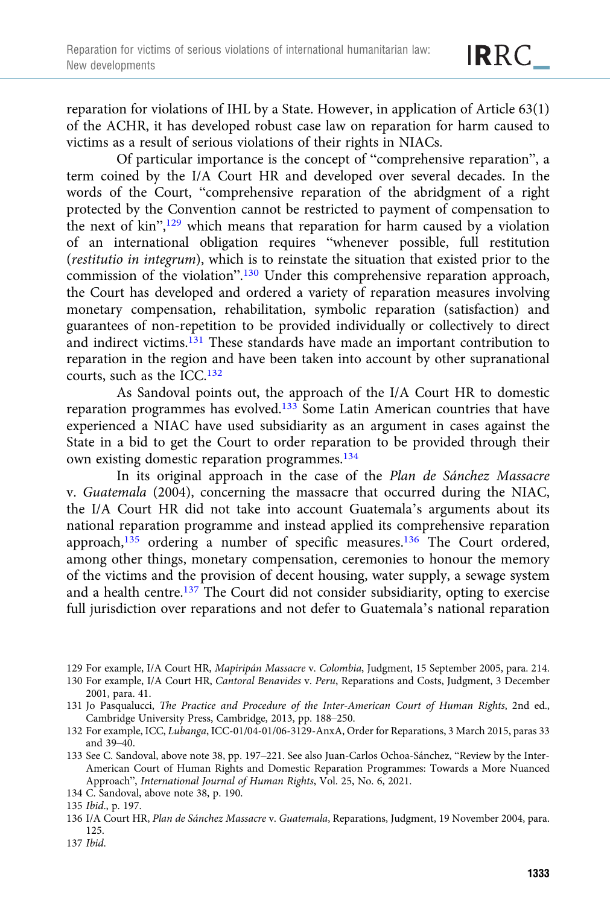reparation for violations of IHL by a State. However, in application of Article 63(1) of the ACHR, it has developed robust case law on reparation for harm caused to victims as a result of serious violations of their rights in NIACs.

Of particular importance is the concept of "comprehensive reparation", a term coined by the I/A Court HR and developed over several decades. In the words of the Court, "comprehensive reparation of the abridgment of a right protected by the Convention cannot be restricted to payment of compensation to the next of kin",<sup>129</sup> which means that reparation for harm caused by a violation of an international obligation requires "whenever possible, full restitution (restitutio in integrum), which is to reinstate the situation that existed prior to the commission of the violation".<sup>130</sup> Under this comprehensive reparation approach, the Court has developed and ordered a variety of reparation measures involving monetary compensation, rehabilitation, symbolic reparation (satisfaction) and guarantees of non-repetition to be provided individually or collectively to direct and indirect victims.<sup>131</sup> These standards have made an important contribution to reparation in the region and have been taken into account by other supranational courts, such as the ICC.132

As Sandoval points out, the approach of the I/A Court HR to domestic reparation programmes has evolved.133 Some Latin American countries that have experienced a NIAC have used subsidiarity as an argument in cases against the State in a bid to get the Court to order reparation to be provided through their own existing domestic reparation programmes.<sup>134</sup>

In its original approach in the case of the Plan de Sánchez Massacre v. Guatemala (2004), concerning the massacre that occurred during the NIAC, the I/A Court HR did not take into account Guatemala's arguments about its national reparation programme and instead applied its comprehensive reparation approach,<sup>135</sup> ordering a number of specific measures.<sup>136</sup> The Court ordered, among other things, monetary compensation, ceremonies to honour the memory of the victims and the provision of decent housing, water supply, a sewage system and a health centre.137 The Court did not consider subsidiarity, opting to exercise full jurisdiction over reparations and not defer to Guatemala's national reparation

<sup>129</sup> For example, I/A Court HR, Mapiripán Massacre v. Colombia, Judgment, 15 September 2005, para. 214.

<sup>130</sup> For example, I/A Court HR, Cantoral Benavides v. Peru, Reparations and Costs, Judgment, 3 December 2001, para. 41.

<sup>131</sup> Jo Pasqualucci, The Practice and Procedure of the Inter-American Court of Human Rights, 2nd ed., Cambridge University Press, Cambridge, 2013, pp. 188–250.

<sup>132</sup> For example, ICC, Lubanga, ICC-01/04-01/06-3129-AnxA, Order for Reparations, 3 March 2015, paras 33 and 39–40.

<sup>133</sup> See C. Sandoval, above note 38, pp. 197–221. See also Juan-Carlos Ochoa-Sánchez, "Review by the Inter-American Court of Human Rights and Domestic Reparation Programmes: Towards a More Nuanced Approach", International Journal of Human Rights, Vol. 25, No. 6, 2021.

<sup>134</sup> C. Sandoval, above note 38, p. 190.

<sup>135</sup> Ibid., p. 197.

<sup>136</sup> I/A Court HR, Plan de Sánchez Massacre v. Guatemala, Reparations, Judgment, 19 November 2004, para. 125.

<sup>137</sup> Ibid.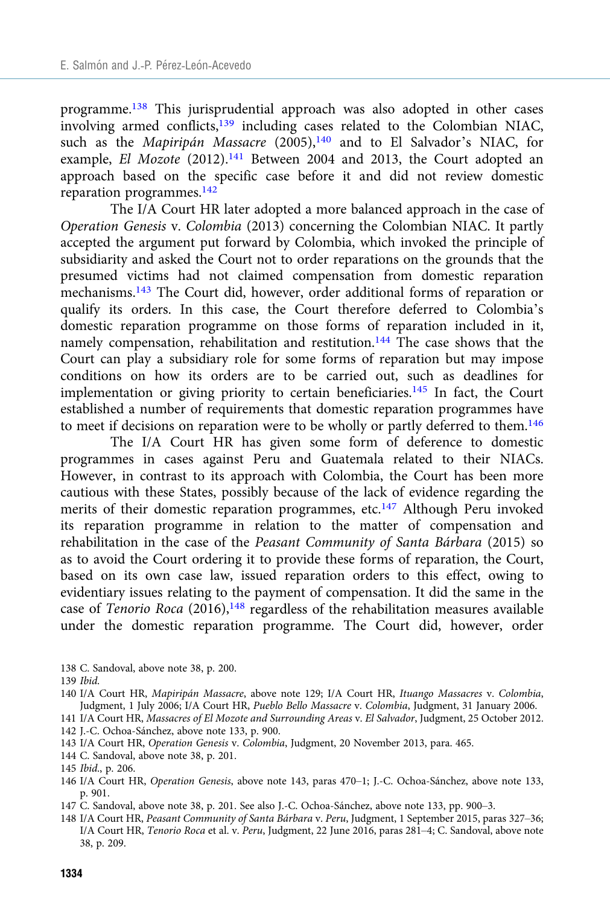programme.138 This jurisprudential approach was also adopted in other cases involving armed conflicts,<sup>139</sup> including cases related to the Colombian NIAC, such as the Mapiripán Massacre (2005),<sup>140</sup> and to El Salvador's NIAC, for example, El Mozote (2012).<sup>141</sup> Between 2004 and 2013, the Court adopted an approach based on the specific case before it and did not review domestic reparation programmes.142

The I/A Court HR later adopted a more balanced approach in the case of Operation Genesis v. Colombia (2013) concerning the Colombian NIAC. It partly accepted the argument put forward by Colombia, which invoked the principle of subsidiarity and asked the Court not to order reparations on the grounds that the presumed victims had not claimed compensation from domestic reparation mechanisms.143 The Court did, however, order additional forms of reparation or qualify its orders. In this case, the Court therefore deferred to Colombia's domestic reparation programme on those forms of reparation included in it, namely compensation, rehabilitation and restitution.<sup>144</sup> The case shows that the Court can play a subsidiary role for some forms of reparation but may impose conditions on how its orders are to be carried out, such as deadlines for implementation or giving priority to certain beneficiaries.<sup>145</sup> In fact, the Court established a number of requirements that domestic reparation programmes have to meet if decisions on reparation were to be wholly or partly deferred to them.146

The I/A Court HR has given some form of deference to domestic programmes in cases against Peru and Guatemala related to their NIACs. However, in contrast to its approach with Colombia, the Court has been more cautious with these States, possibly because of the lack of evidence regarding the merits of their domestic reparation programmes, etc.<sup>147</sup> Although Peru invoked its reparation programme in relation to the matter of compensation and rehabilitation in the case of the Peasant Community of Santa Bárbara (2015) so as to avoid the Court ordering it to provide these forms of reparation, the Court, based on its own case law, issued reparation orders to this effect, owing to evidentiary issues relating to the payment of compensation. It did the same in the case of Tenorio Roca  $(2016)$ ,<sup>148</sup> regardless of the rehabilitation measures available under the domestic reparation programme. The Court did, however, order

138 C. Sandoval, above note 38, p. 200.

- 143 I/A Court HR, Operation Genesis v. Colombia, Judgment, 20 November 2013, para. 465.
- 144 C. Sandoval, above note 38, p. 201.

- 146 I/A Court HR, Operation Genesis, above note 143, paras 470–1; J.-C. Ochoa-Sánchez, above note 133, p. 901.
- 147 C. Sandoval, above note 38, p. 201. See also J.-C. Ochoa-Sánchez, above note 133, pp. 900–3.

<sup>139</sup> Ibid.

<sup>140</sup> I/A Court HR, Mapiripán Massacre, above note 129; I/A Court HR, Ituango Massacres v. Colombia, Judgment, 1 July 2006; I/A Court HR, Pueblo Bello Massacre v. Colombia, Judgment, 31 January 2006.

<sup>141</sup> I/A Court HR, Massacres of El Mozote and Surrounding Areas v. El Salvador, Judgment, 25 October 2012. 142 J.-C. Ochoa-Sánchez, above note 133, p. 900.

<sup>145</sup> Ibid., p. 206.

<sup>148</sup> I/A Court HR, Peasant Community of Santa Bárbara v. Peru, Judgment, 1 September 2015, paras 327–36; I/A Court HR, Tenorio Roca et al. v. Peru, Judgment, 22 June 2016, paras 281–4; C. Sandoval, above note 38, p. 209.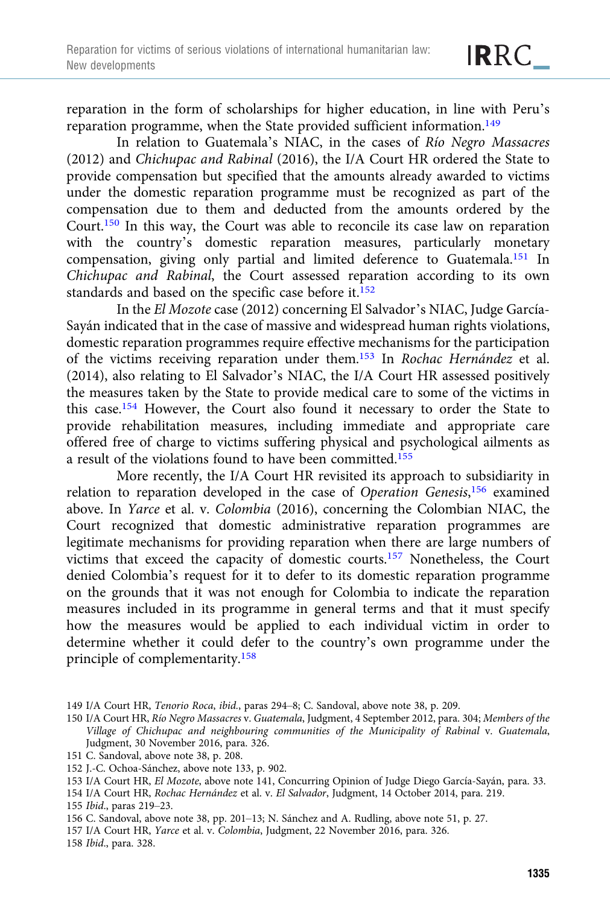reparation in the form of scholarships for higher education, in line with Peru's reparation programme, when the State provided sufficient information.<sup>149</sup>

In relation to Guatemala's NIAC, in the cases of Río Negro Massacres (2012) and Chichupac and Rabinal (2016), the I/A Court HR ordered the State to provide compensation but specified that the amounts already awarded to victims under the domestic reparation programme must be recognized as part of the compensation due to them and deducted from the amounts ordered by the Court.150 In this way, the Court was able to reconcile its case law on reparation with the country's domestic reparation measures, particularly monetary compensation, giving only partial and limited deference to Guatemala.151 In Chichupac and Rabinal, the Court assessed reparation according to its own standards and based on the specific case before it.<sup>152</sup>

In the El Mozote case (2012) concerning El Salvador's NIAC, Judge García-Sayán indicated that in the case of massive and widespread human rights violations, domestic reparation programmes require effective mechanisms for the participation of the victims receiving reparation under them.153 In Rochac Hernández et al. (2014), also relating to El Salvador's NIAC, the I/A Court HR assessed positively the measures taken by the State to provide medical care to some of the victims in this case.154 However, the Court also found it necessary to order the State to provide rehabilitation measures, including immediate and appropriate care offered free of charge to victims suffering physical and psychological ailments as a result of the violations found to have been committed.<sup>155</sup>

More recently, the I/A Court HR revisited its approach to subsidiarity in relation to reparation developed in the case of Operation Genesis,<sup>156</sup> examined above. In Yarce et al. v. Colombia (2016), concerning the Colombian NIAC, the Court recognized that domestic administrative reparation programmes are legitimate mechanisms for providing reparation when there are large numbers of victims that exceed the capacity of domestic courts.157 Nonetheless, the Court denied Colombia's request for it to defer to its domestic reparation programme on the grounds that it was not enough for Colombia to indicate the reparation measures included in its programme in general terms and that it must specify how the measures would be applied to each individual victim in order to determine whether it could defer to the country's own programme under the principle of complementarity.158

154 I/A Court HR, Rochac Hernández et al. v. El Salvador, Judgment, 14 October 2014, para. 219.

157 I/A Court HR, Yarce et al. v. Colombia, Judgment, 22 November 2016, para. 326.

158 Ibid., para. 328.

<sup>149</sup> I/A Court HR, Tenorio Roca, ibid., paras 294–8; C. Sandoval, above note 38, p. 209.

<sup>150</sup> I/A Court HR, Río Negro Massacres v. Guatemala, Judgment, 4 September 2012, para. 304; Members of the Village of Chichupac and neighbouring communities of the Municipality of Rabinal v. Guatemala, Judgment, 30 November 2016, para. 326.

<sup>151</sup> C. Sandoval, above note 38, p. 208.

<sup>152</sup> J.-C. Ochoa-Sánchez, above note 133, p. 902.

<sup>153</sup> I/A Court HR, El Mozote, above note 141, Concurring Opinion of Judge Diego García-Sayán, para. 33.

<sup>155</sup> Ibid., paras 219–23.

<sup>156</sup> C. Sandoval, above note 38, pp. 201–13; N. Sánchez and A. Rudling, above note 51, p. 27.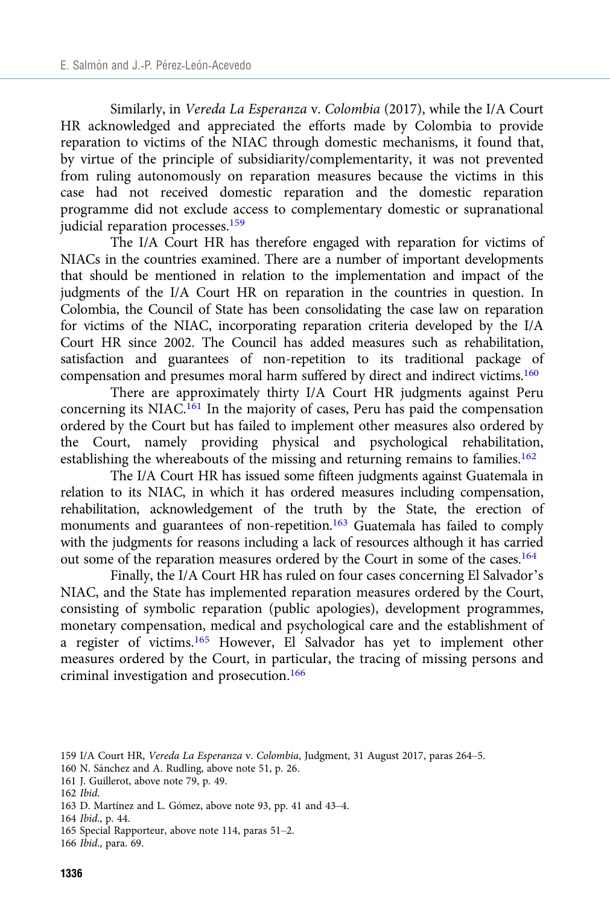Similarly, in Vereda La Esperanza v. Colombia (2017), while the I/A Court HR acknowledged and appreciated the efforts made by Colombia to provide reparation to victims of the NIAC through domestic mechanisms, it found that, by virtue of the principle of subsidiarity/complementarity, it was not prevented from ruling autonomously on reparation measures because the victims in this case had not received domestic reparation and the domestic reparation programme did not exclude access to complementary domestic or supranational judicial reparation processes.159

The I/A Court HR has therefore engaged with reparation for victims of NIACs in the countries examined. There are a number of important developments that should be mentioned in relation to the implementation and impact of the judgments of the I/A Court HR on reparation in the countries in question. In Colombia, the Council of State has been consolidating the case law on reparation for victims of the NIAC, incorporating reparation criteria developed by the I/A Court HR since 2002. The Council has added measures such as rehabilitation, satisfaction and guarantees of non-repetition to its traditional package of compensation and presumes moral harm suffered by direct and indirect victims.160

There are approximately thirty I/A Court HR judgments against Peru concerning its NIAC.<sup>161</sup> In the majority of cases, Peru has paid the compensation ordered by the Court but has failed to implement other measures also ordered by the Court, namely providing physical and psychological rehabilitation, establishing the whereabouts of the missing and returning remains to families.<sup>162</sup>

The I/A Court HR has issued some fifteen judgments against Guatemala in relation to its NIAC, in which it has ordered measures including compensation, rehabilitation, acknowledgement of the truth by the State, the erection of monuments and guarantees of non-repetition.<sup>163</sup> Guatemala has failed to comply with the judgments for reasons including a lack of resources although it has carried out some of the reparation measures ordered by the Court in some of the cases.164

Finally, the I/A Court HR has ruled on four cases concerning El Salvador's NIAC, and the State has implemented reparation measures ordered by the Court, consisting of symbolic reparation (public apologies), development programmes, monetary compensation, medical and psychological care and the establishment of a register of victims.165 However, El Salvador has yet to implement other measures ordered by the Court, in particular, the tracing of missing persons and criminal investigation and prosecution.<sup>166</sup>

- 161 J. Guillerot, above note 79, p. 49.
- 162 Ibid.
- 163 D. Martínez and L. Gómez, above note 93, pp. 41 and 43–4.

164 Ibid., p. 44.

<sup>159</sup> I/A Court HR, Vereda La Esperanza v. Colombia, Judgment, 31 August 2017, paras 264–5.

<sup>160</sup> N. Sánchez and A. Rudling, above note 51, p. 26.

<sup>165</sup> Special Rapporteur, above note 114, paras 51–2.

<sup>166</sup> Ibid., para. 69.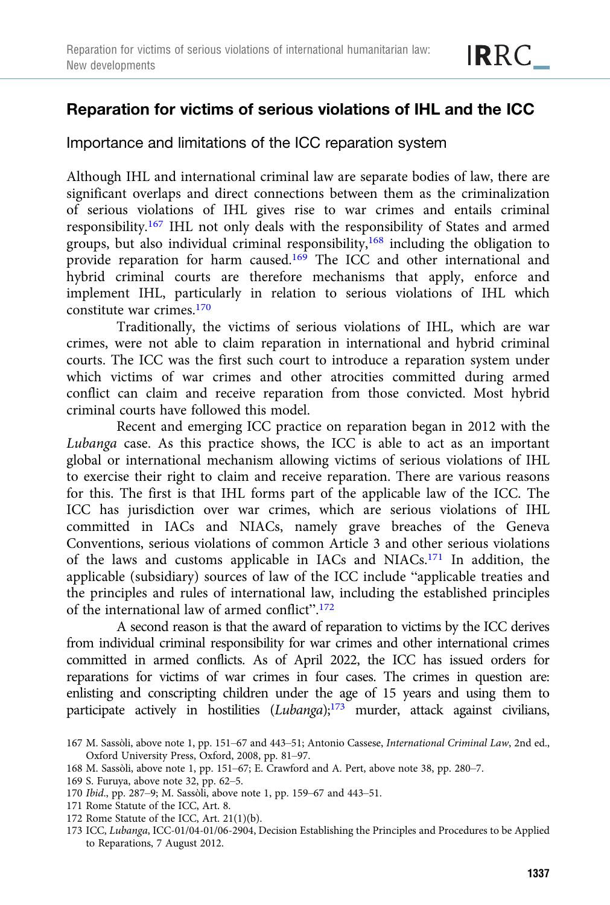# Reparation for victims of serious violations of IHL and the ICC

Importance and limitations of the ICC reparation system

Although IHL and international criminal law are separate bodies of law, there are significant overlaps and direct connections between them as the criminalization of serious violations of IHL gives rise to war crimes and entails criminal responsibility.<sup>167</sup> IHL not only deals with the responsibility of States and armed groups, but also individual criminal responsibility,<sup>168</sup> including the obligation to provide reparation for harm caused.<sup>169</sup> The ICC and other international and hybrid criminal courts are therefore mechanisms that apply, enforce and implement IHL, particularly in relation to serious violations of IHL which constitute war crimes.<sup>170</sup>

Traditionally, the victims of serious violations of IHL, which are war crimes, were not able to claim reparation in international and hybrid criminal courts. The ICC was the first such court to introduce a reparation system under which victims of war crimes and other atrocities committed during armed conflict can claim and receive reparation from those convicted. Most hybrid criminal courts have followed this model.

Recent and emerging ICC practice on reparation began in 2012 with the Lubanga case. As this practice shows, the ICC is able to act as an important global or international mechanism allowing victims of serious violations of IHL to exercise their right to claim and receive reparation. There are various reasons for this. The first is that IHL forms part of the applicable law of the ICC. The ICC has jurisdiction over war crimes, which are serious violations of IHL committed in IACs and NIACs, namely grave breaches of the Geneva Conventions, serious violations of common Article 3 and other serious violations of the laws and customs applicable in IACs and NIACs.171 In addition, the applicable (subsidiary) sources of law of the ICC include "applicable treaties and the principles and rules of international law, including the established principles of the international law of armed conflict".<sup>172</sup>

A second reason is that the award of reparation to victims by the ICC derives from individual criminal responsibility for war crimes and other international crimes committed in armed conflicts. As of April 2022, the ICC has issued orders for reparations for victims of war crimes in four cases. The crimes in question are: enlisting and conscripting children under the age of 15 years and using them to participate actively in hostilities (Lubanga);<sup>173</sup> murder, attack against civilians,

- 171 Rome Statute of the ICC, Art. 8.
- 172 Rome Statute of the ICC, Art. 21(1)(b).
- 173 ICC, Lubanga, ICC-01/04-01/06-2904, Decision Establishing the Principles and Procedures to be Applied to Reparations, 7 August 2012.

<sup>167</sup> M. Sassòli, above note 1, pp. 151–67 and 443–51; Antonio Cassese, International Criminal Law, 2nd ed., Oxford University Press, Oxford, 2008, pp. 81–97.

<sup>168</sup> M. Sassòli, above note 1, pp. 151–67; E. Crawford and A. Pert, above note 38, pp. 280–7.

<sup>169</sup> S. Furuya, above note 32, pp. 62–5.

<sup>170</sup> Ibid., pp. 287–9; M. Sassòli, above note 1, pp. 159–67 and 443–51.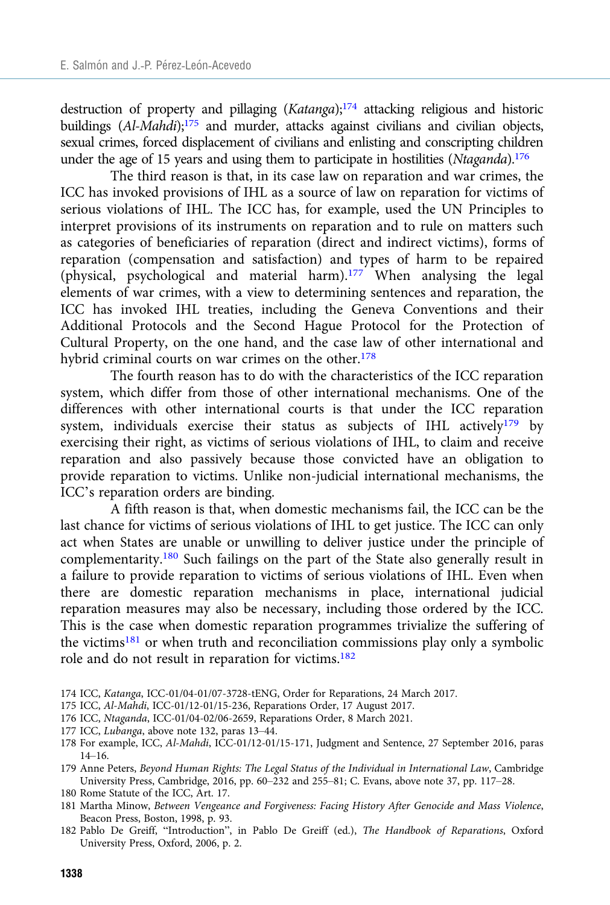destruction of property and pillaging  $(Katanga)$ ;<sup>174</sup> attacking religious and historic buildings (Al-Mahdi);<sup>175</sup> and murder, attacks against civilians and civilian objects, sexual crimes, forced displacement of civilians and enlisting and conscripting children under the age of 15 years and using them to participate in hostilities (Ntaganda).<sup>176</sup>

The third reason is that, in its case law on reparation and war crimes, the ICC has invoked provisions of IHL as a source of law on reparation for victims of serious violations of IHL. The ICC has, for example, used the UN Principles to interpret provisions of its instruments on reparation and to rule on matters such as categories of beneficiaries of reparation (direct and indirect victims), forms of reparation (compensation and satisfaction) and types of harm to be repaired (physical, psychological and material harm).177 When analysing the legal elements of war crimes, with a view to determining sentences and reparation, the ICC has invoked IHL treaties, including the Geneva Conventions and their Additional Protocols and the Second Hague Protocol for the Protection of Cultural Property, on the one hand, and the case law of other international and hybrid criminal courts on war crimes on the other.<sup>178</sup>

The fourth reason has to do with the characteristics of the ICC reparation system, which differ from those of other international mechanisms. One of the differences with other international courts is that under the ICC reparation system, individuals exercise their status as subjects of IHL actively<sup>179</sup> by exercising their right, as victims of serious violations of IHL, to claim and receive reparation and also passively because those convicted have an obligation to provide reparation to victims. Unlike non-judicial international mechanisms, the ICC's reparation orders are binding.

A fifth reason is that, when domestic mechanisms fail, the ICC can be the last chance for victims of serious violations of IHL to get justice. The ICC can only act when States are unable or unwilling to deliver justice under the principle of complementarity.180 Such failings on the part of the State also generally result in a failure to provide reparation to victims of serious violations of IHL. Even when there are domestic reparation mechanisms in place, international judicial reparation measures may also be necessary, including those ordered by the ICC. This is the case when domestic reparation programmes trivialize the suffering of the victims<sup>181</sup> or when truth and reconciliation commissions play only a symbolic role and do not result in reparation for victims.<sup>182</sup>

- 174 ICC, Katanga, ICC-01/04-01/07-3728-tENG, Order for Reparations, 24 March 2017.
- 175 ICC, Al-Mahdi, ICC-01/12-01/15-236, Reparations Order, 17 August 2017.
- 176 ICC, Ntaganda, ICC-01/04-02/06-2659, Reparations Order, 8 March 2021.
- 177 ICC, Lubanga, above note 132, paras 13–44.
- 178 For example, ICC, Al-Mahdi, ICC-01/12-01/15-171, Judgment and Sentence, 27 September 2016, paras 14–16.
- 179 Anne Peters, Beyond Human Rights: The Legal Status of the Individual in International Law, Cambridge University Press, Cambridge, 2016, pp. 60–232 and 255–81; C. Evans, above note 37, pp. 117–28.
- 180 Rome Statute of the ICC, Art. 17.
- 181 Martha Minow, Between Vengeance and Forgiveness: Facing History After Genocide and Mass Violence, Beacon Press, Boston, 1998, p. 93.
- 182 Pablo De Greiff, "Introduction", in Pablo De Greiff (ed.), The Handbook of Reparations, Oxford University Press, Oxford, 2006, p. 2.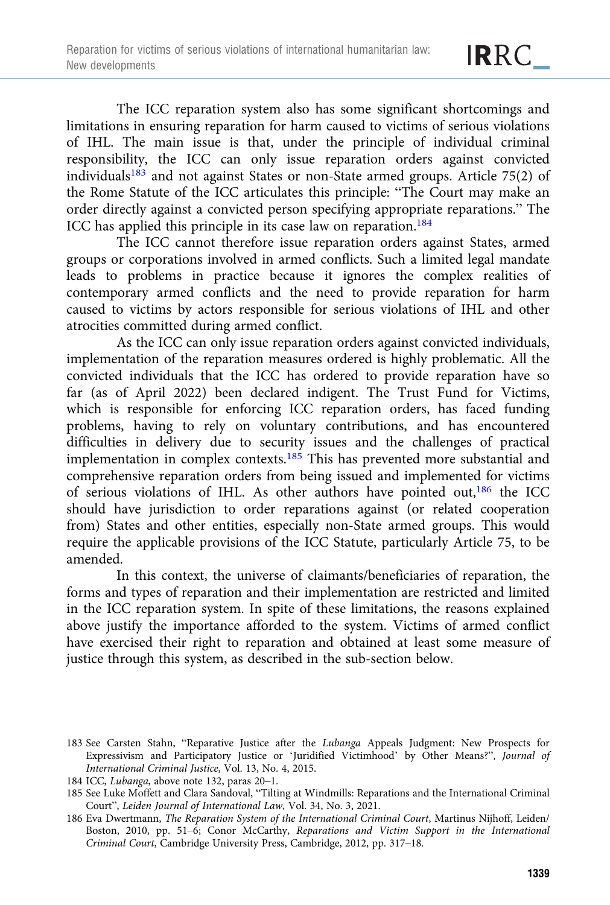The ICC reparation system also has some significant shortcomings and limitations in ensuring reparation for harm caused to victims of serious violations of IHL. The main issue is that, under the principle of individual criminal responsibility, the ICC can only issue reparation orders against convicted individuals183 and not against States or non-State armed groups. Article 75(2) of the Rome Statute of the ICC articulates this principle: "The Court may make an order directly against a convicted person specifying appropriate reparations." The ICC has applied this principle in its case law on reparation.<sup>184</sup>

The ICC cannot therefore issue reparation orders against States, armed groups or corporations involved in armed conflicts. Such a limited legal mandate leads to problems in practice because it ignores the complex realities of contemporary armed conflicts and the need to provide reparation for harm caused to victims by actors responsible for serious violations of IHL and other atrocities committed during armed conflict.

As the ICC can only issue reparation orders against convicted individuals, implementation of the reparation measures ordered is highly problematic. All the convicted individuals that the ICC has ordered to provide reparation have so far (as of April 2022) been declared indigent. The Trust Fund for Victims, which is responsible for enforcing ICC reparation orders, has faced funding problems, having to rely on voluntary contributions, and has encountered difficulties in delivery due to security issues and the challenges of practical implementation in complex contexts.<sup>185</sup> This has prevented more substantial and comprehensive reparation orders from being issued and implemented for victims of serious violations of IHL. As other authors have pointed out,186 the ICC should have jurisdiction to order reparations against (or related cooperation from) States and other entities, especially non-State armed groups. This would require the applicable provisions of the ICC Statute, particularly Article 75, to be amended.

In this context, the universe of claimants/beneficiaries of reparation, the forms and types of reparation and their implementation are restricted and limited in the ICC reparation system. In spite of these limitations, the reasons explained above justify the importance afforded to the system. Victims of armed conflict have exercised their right to reparation and obtained at least some measure of justice through this system, as described in the sub-section below.

<sup>183</sup> See Carsten Stahn, "Reparative Justice after the Lubanga Appeals Judgment: New Prospects for Expressivism and Participatory Justice or 'Juridified Victimhood' by Other Means?", Journal of International Criminal Justice, Vol. 13, No. 4, 2015.

<sup>184</sup> ICC, Lubanga, above note 132, paras 20–1.

<sup>185</sup> See Luke Moffett and Clara Sandoval, "Tilting at Windmills: Reparations and the International Criminal Court", Leiden Journal of International Law, Vol. 34, No. 3, 2021.

<sup>186</sup> Eva Dwertmann, The Reparation System of the International Criminal Court, Martinus Nijhoff, Leiden/ Boston, 2010, pp. 51–6; Conor McCarthy, Reparations and Victim Support in the International Criminal Court, Cambridge University Press, Cambridge, 2012, pp. 317–18.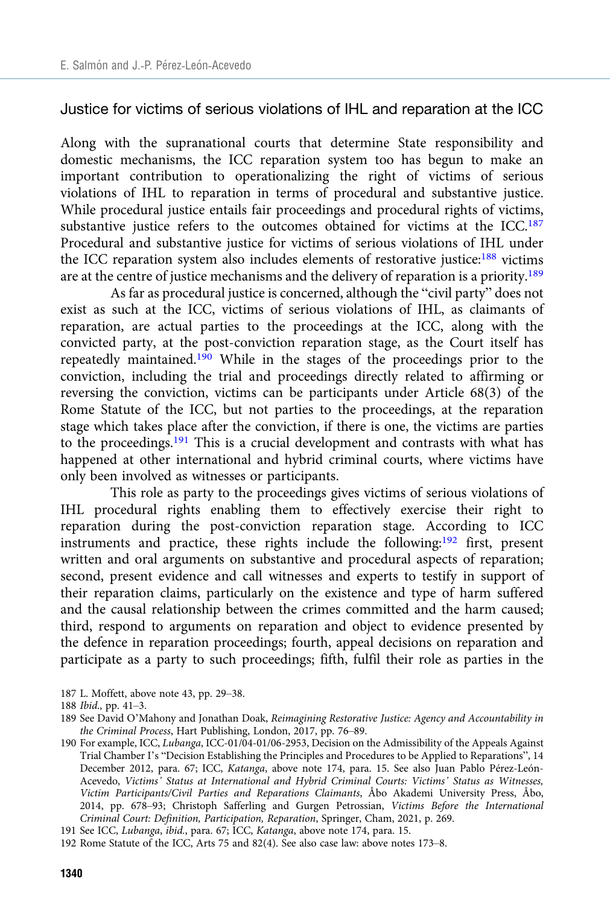#### Justice for victims of serious violations of IHL and reparation at the ICC

Along with the supranational courts that determine State responsibility and domestic mechanisms, the ICC reparation system too has begun to make an important contribution to operationalizing the right of victims of serious violations of IHL to reparation in terms of procedural and substantive justice. While procedural justice entails fair proceedings and procedural rights of victims, substantive justice refers to the outcomes obtained for victims at the ICC.<sup>187</sup> Procedural and substantive justice for victims of serious violations of IHL under the ICC reparation system also includes elements of restorative justice:188 victims are at the centre of justice mechanisms and the delivery of reparation is a priority.189

As far as procedural justice is concerned, although the "civil party" does not exist as such at the ICC, victims of serious violations of IHL, as claimants of reparation, are actual parties to the proceedings at the ICC, along with the convicted party, at the post-conviction reparation stage, as the Court itself has repeatedly maintained.<sup>190</sup> While in the stages of the proceedings prior to the conviction, including the trial and proceedings directly related to affirming or reversing the conviction, victims can be participants under Article 68(3) of the Rome Statute of the ICC, but not parties to the proceedings, at the reparation stage which takes place after the conviction, if there is one, the victims are parties to the proceedings.<sup>191</sup> This is a crucial development and contrasts with what has happened at other international and hybrid criminal courts, where victims have only been involved as witnesses or participants.

This role as party to the proceedings gives victims of serious violations of IHL procedural rights enabling them to effectively exercise their right to reparation during the post-conviction reparation stage. According to ICC instruments and practice, these rights include the following:192 first, present written and oral arguments on substantive and procedural aspects of reparation; second, present evidence and call witnesses and experts to testify in support of their reparation claims, particularly on the existence and type of harm suffered and the causal relationship between the crimes committed and the harm caused; third, respond to arguments on reparation and object to evidence presented by the defence in reparation proceedings; fourth, appeal decisions on reparation and participate as a party to such proceedings; fifth, fulfil their role as parties in the

187 L. Moffett, above note 43, pp. 29–38.

<sup>188</sup> Ibid., pp. 41–3.

<sup>189</sup> See David O'Mahony and Jonathan Doak, Reimagining Restorative Justice: Agency and Accountability in the Criminal Process, Hart Publishing, London, 2017, pp. 76–89.

<sup>190</sup> For example, ICC, Lubanga, ICC-01/04-01/06-2953, Decision on the Admissibility of the Appeals Against Trial Chamber I's "Decision Establishing the Principles and Procedures to be Applied to Reparations", 14 December 2012, para. 67; ICC, Katanga, above note 174, para. 15. See also Juan Pablo Pérez-León-Acevedo, Victims' Status at International and Hybrid Criminal Courts: Victims' Status as Witnesses, Victim Participants/Civil Parties and Reparations Claimants, Åbo Akademi University Press, Åbo, 2014, pp. 678–93; Christoph Safferling and Gurgen Petrossian, Victims Before the International Criminal Court: Definition, Participation, Reparation, Springer, Cham, 2021, p. 269.

<sup>191</sup> See ICC, Lubanga, ibid., para. 67; ICC, Katanga, above note 174, para. 15.

<sup>192</sup> Rome Statute of the ICC, Arts 75 and 82(4). See also case law: above notes 173–8.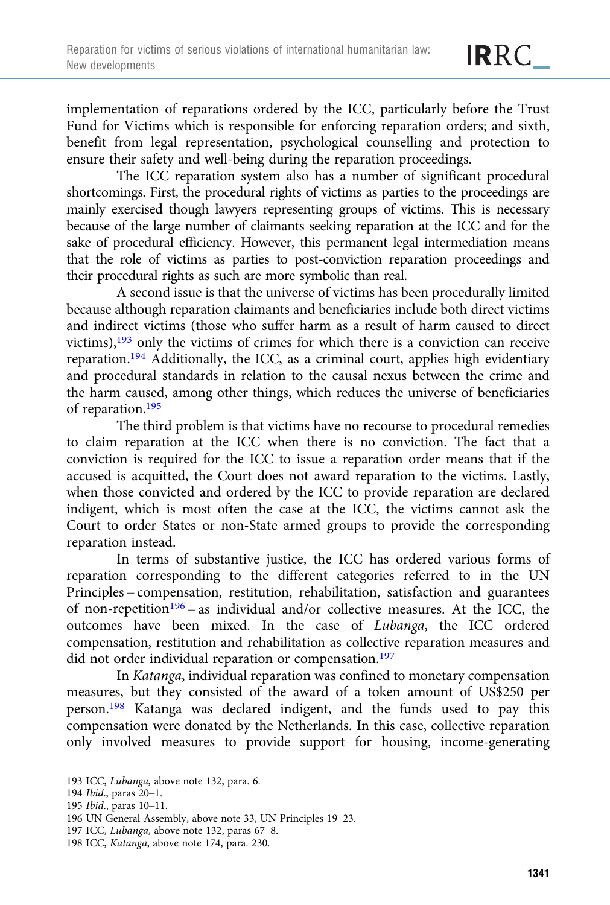implementation of reparations ordered by the ICC, particularly before the Trust Fund for Victims which is responsible for enforcing reparation orders; and sixth, benefit from legal representation, psychological counselling and protection to ensure their safety and well-being during the reparation proceedings.

The ICC reparation system also has a number of significant procedural shortcomings. First, the procedural rights of victims as parties to the proceedings are mainly exercised though lawyers representing groups of victims. This is necessary because of the large number of claimants seeking reparation at the ICC and for the sake of procedural efficiency. However, this permanent legal intermediation means that the role of victims as parties to post-conviction reparation proceedings and their procedural rights as such are more symbolic than real.

A second issue is that the universe of victims has been procedurally limited because although reparation claimants and beneficiaries include both direct victims and indirect victims (those who suffer harm as a result of harm caused to direct victims),193 only the victims of crimes for which there is a conviction can receive reparation.194 Additionally, the ICC, as a criminal court, applies high evidentiary and procedural standards in relation to the causal nexus between the crime and the harm caused, among other things, which reduces the universe of beneficiaries of reparation.195

The third problem is that victims have no recourse to procedural remedies to claim reparation at the ICC when there is no conviction. The fact that a conviction is required for the ICC to issue a reparation order means that if the accused is acquitted, the Court does not award reparation to the victims. Lastly, when those convicted and ordered by the ICC to provide reparation are declared indigent, which is most often the case at the ICC, the victims cannot ask the Court to order States or non-State armed groups to provide the corresponding reparation instead.

In terms of substantive justice, the ICC has ordered various forms of reparation corresponding to the different categories referred to in the UN Principles – compensation, restitution, rehabilitation, satisfaction and guarantees of non-repetition<sup>196</sup> – as individual and/or collective measures. At the ICC, the outcomes have been mixed. In the case of Lubanga, the ICC ordered compensation, restitution and rehabilitation as collective reparation measures and did not order individual reparation or compensation.<sup>197</sup>

In Katanga, individual reparation was confined to monetary compensation measures, but they consisted of the award of a token amount of US\$250 per person.198 Katanga was declared indigent, and the funds used to pay this compensation were donated by the Netherlands. In this case, collective reparation only involved measures to provide support for housing, income-generating

195 Ibid., paras 10–11.

<sup>193</sup> ICC, Lubanga, above note 132, para. 6.

<sup>194</sup> Ibid., paras 20–1.

<sup>196</sup> UN General Assembly, above note 33, UN Principles 19–23.

<sup>197</sup> ICC, Lubanga, above note 132, paras 67–8.

<sup>198</sup> ICC, Katanga, above note 174, para. 230.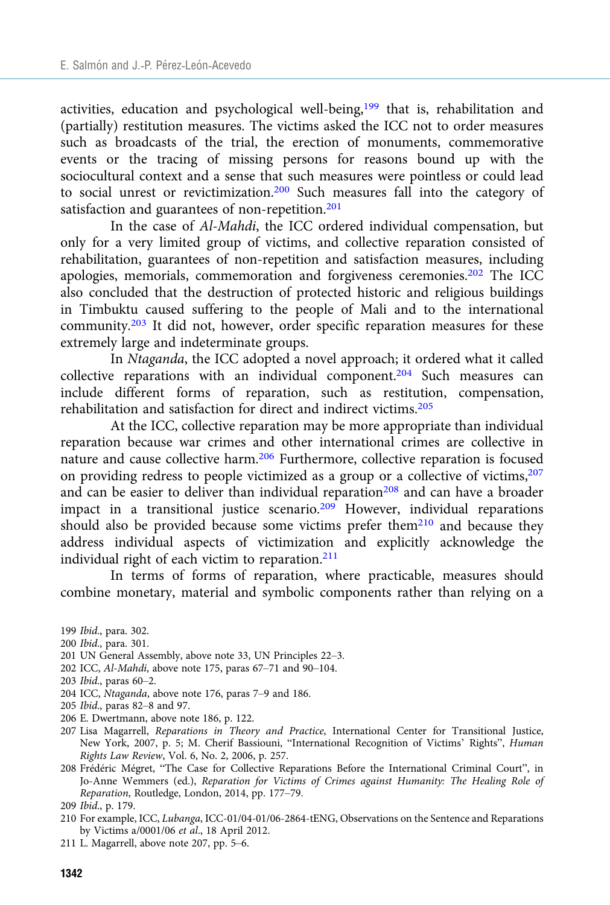activities, education and psychological well-being, $199$  that is, rehabilitation and (partially) restitution measures. The victims asked the ICC not to order measures such as broadcasts of the trial, the erection of monuments, commemorative events or the tracing of missing persons for reasons bound up with the sociocultural context and a sense that such measures were pointless or could lead to social unrest or revictimization.200 Such measures fall into the category of satisfaction and guarantees of non-repetition.<sup>201</sup>

In the case of Al-Mahdi, the ICC ordered individual compensation, but only for a very limited group of victims, and collective reparation consisted of rehabilitation, guarantees of non-repetition and satisfaction measures, including apologies, memorials, commemoration and forgiveness ceremonies.202 The ICC also concluded that the destruction of protected historic and religious buildings in Timbuktu caused suffering to the people of Mali and to the international community.<sup>203</sup> It did not, however, order specific reparation measures for these extremely large and indeterminate groups.

In Ntaganda, the ICC adopted a novel approach; it ordered what it called collective reparations with an individual component.204 Such measures can include different forms of reparation, such as restitution, compensation, rehabilitation and satisfaction for direct and indirect victims.205

At the ICC, collective reparation may be more appropriate than individual reparation because war crimes and other international crimes are collective in nature and cause collective harm.<sup>206</sup> Furthermore, collective reparation is focused on providing redress to people victimized as a group or a collective of victims,207 and can be easier to deliver than individual reparation<sup>208</sup> and can have a broader impact in a transitional justice scenario. $209$  However, individual reparations should also be provided because some victims prefer them<sup>210</sup> and because they address individual aspects of victimization and explicitly acknowledge the individual right of each victim to reparation.<sup>211</sup>

In terms of forms of reparation, where practicable, measures should combine monetary, material and symbolic components rather than relying on a

- 200 Ibid., para. 301.
- 201 UN General Assembly, above note 33, UN Principles 22–3.
- 202 ICC, Al-Mahdi, above note 175, paras 67–71 and 90–104.
- 203 Ibid., paras 60–2.
- 204 ICC, Ntaganda, above note 176, paras 7–9 and 186.
- 205 Ibid., paras 82–8 and 97.
- 206 E. Dwertmann, above note 186, p. 122.
- 207 Lisa Magarrell, Reparations in Theory and Practice, International Center for Transitional Justice, New York, 2007, p. 5; M. Cherif Bassiouni, "International Recognition of Victims' Rights", Human Rights Law Review, Vol. 6, No. 2, 2006, p. 257.
- 208 Frédéric Mégret, "The Case for Collective Reparations Before the International Criminal Court", in Jo-Anne Wemmers (ed.), Reparation for Victims of Crimes against Humanity: The Healing Role of Reparation, Routledge, London, 2014, pp. 177–79.
- 209 Ibid., p. 179.
- 210 For example, ICC, Lubanga, ICC-01/04-01/06-2864-tENG, Observations on the Sentence and Reparations by Victims a/0001/06 et al., 18 April 2012.
- 211 L. Magarrell, above note 207, pp. 5–6.

<sup>199</sup> Ibid., para. 302.